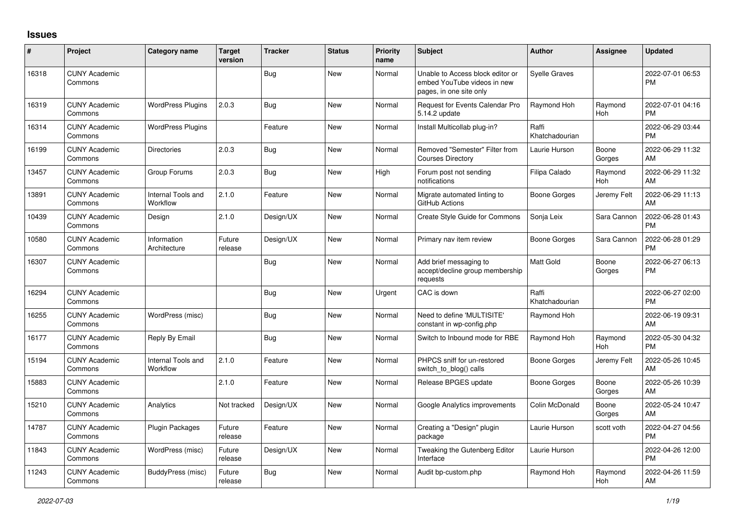## **Issues**

| #     | Project                         | Category name                         | <b>Target</b><br>version | <b>Tracker</b> | <b>Status</b> | <b>Priority</b><br>name | <b>Subject</b>                                                                             | <b>Author</b>           | <b>Assignee</b> | <b>Updated</b>                |
|-------|---------------------------------|---------------------------------------|--------------------------|----------------|---------------|-------------------------|--------------------------------------------------------------------------------------------|-------------------------|-----------------|-------------------------------|
| 16318 | <b>CUNY Academic</b><br>Commons |                                       |                          | Bug            | <b>New</b>    | Normal                  | Unable to Access block editor or<br>embed YouTube videos in new<br>pages, in one site only | <b>Syelle Graves</b>    |                 | 2022-07-01 06:53<br><b>PM</b> |
| 16319 | <b>CUNY Academic</b><br>Commons | <b>WordPress Plugins</b>              | 2.0.3                    | Bug            | New           | Normal                  | <b>Request for Events Calendar Pro</b><br>5.14.2 update                                    | Raymond Hoh             | Raymond<br>Hoh  | 2022-07-01 04:16<br><b>PM</b> |
| 16314 | <b>CUNY Academic</b><br>Commons | <b>WordPress Plugins</b>              |                          | Feature        | <b>New</b>    | Normal                  | Install Multicollab plug-in?                                                               | Raffi<br>Khatchadourian |                 | 2022-06-29 03:44<br><b>PM</b> |
| 16199 | <b>CUNY Academic</b><br>Commons | <b>Directories</b>                    | 2.0.3                    | <b>Bug</b>     | <b>New</b>    | Normal                  | Removed "Semester" Filter from<br><b>Courses Directory</b>                                 | Laurie Hurson           | Boone<br>Gorges | 2022-06-29 11:32<br>AM        |
| 13457 | <b>CUNY Academic</b><br>Commons | Group Forums                          | 2.0.3                    | Bug            | <b>New</b>    | High                    | Forum post not sending<br>notifications                                                    | Filipa Calado           | Raymond<br>Hoh  | 2022-06-29 11:32<br>AM        |
| 13891 | <b>CUNY Academic</b><br>Commons | <b>Internal Tools and</b><br>Workflow | 2.1.0                    | Feature        | <b>New</b>    | Normal                  | Migrate automated linting to<br>GitHub Actions                                             | <b>Boone Gorges</b>     | Jeremy Felt     | 2022-06-29 11:13<br>AM        |
| 10439 | <b>CUNY Academic</b><br>Commons | Design                                | 2.1.0                    | Design/UX      | <b>New</b>    | Normal                  | Create Style Guide for Commons                                                             | Sonja Leix              | Sara Cannon     | 2022-06-28 01:43<br><b>PM</b> |
| 10580 | <b>CUNY Academic</b><br>Commons | Information<br>Architecture           | Future<br>release        | Design/UX      | <b>New</b>    | Normal                  | Primary nav item review                                                                    | <b>Boone Gorges</b>     | Sara Cannon     | 2022-06-28 01:29<br><b>PM</b> |
| 16307 | <b>CUNY Academic</b><br>Commons |                                       |                          | <b>Bug</b>     | <b>New</b>    | Normal                  | Add brief messaging to<br>accept/decline group membership<br>requests                      | <b>Matt Gold</b>        | Boone<br>Gorges | 2022-06-27 06:13<br><b>PM</b> |
| 16294 | <b>CUNY Academic</b><br>Commons |                                       |                          | Bug            | <b>New</b>    | Urgent                  | CAC is down                                                                                | Raffi<br>Khatchadourian |                 | 2022-06-27 02:00<br><b>PM</b> |
| 16255 | <b>CUNY Academic</b><br>Commons | WordPress (misc)                      |                          | <b>Bug</b>     | <b>New</b>    | Normal                  | Need to define 'MULTISITE'<br>constant in wp-config.php                                    | Raymond Hoh             |                 | 2022-06-19 09:31<br>AM        |
| 16177 | <b>CUNY Academic</b><br>Commons | Reply By Email                        |                          | Bug            | <b>New</b>    | Normal                  | Switch to Inbound mode for RBE                                                             | Raymond Hoh             | Raymond<br>Hoh  | 2022-05-30 04:32<br><b>PM</b> |
| 15194 | <b>CUNY Academic</b><br>Commons | Internal Tools and<br>Workflow        | 2.1.0                    | Feature        | <b>New</b>    | Normal                  | PHPCS sniff for un-restored<br>switch_to_blog() calls                                      | <b>Boone Gorges</b>     | Jeremy Felt     | 2022-05-26 10:45<br>AM        |
| 15883 | <b>CUNY Academic</b><br>Commons |                                       | 2.1.0                    | Feature        | <b>New</b>    | Normal                  | Release BPGES update                                                                       | Boone Gorges            | Boone<br>Gorges | 2022-05-26 10:39<br>AM        |
| 15210 | <b>CUNY Academic</b><br>Commons | Analytics                             | Not tracked              | Design/UX      | New           | Normal                  | Google Analytics improvements                                                              | Colin McDonald          | Boone<br>Gorges | 2022-05-24 10:47<br>AM        |
| 14787 | <b>CUNY Academic</b><br>Commons | <b>Plugin Packages</b>                | Future<br>release        | Feature        | New           | Normal                  | Creating a "Design" plugin<br>package                                                      | Laurie Hurson           | scott voth      | 2022-04-27 04:56<br><b>PM</b> |
| 11843 | <b>CUNY Academic</b><br>Commons | WordPress (misc)                      | Future<br>release        | Design/UX      | <b>New</b>    | Normal                  | Tweaking the Gutenberg Editor<br>Interface                                                 | Laurie Hurson           |                 | 2022-04-26 12:00<br><b>PM</b> |
| 11243 | <b>CUNY Academic</b><br>Commons | BuddyPress (misc)                     | Future<br>release        | Bug            | <b>New</b>    | Normal                  | Audit bp-custom.php                                                                        | Raymond Hoh             | Raymond<br>Hoh  | 2022-04-26 11:59<br>AM        |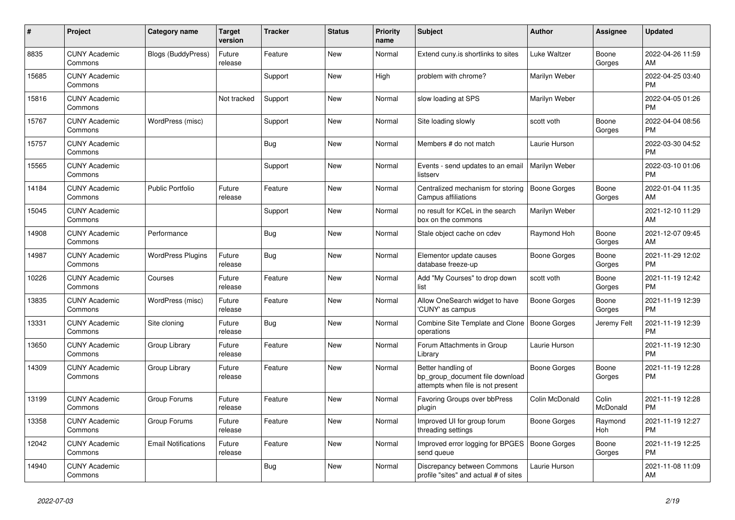| #     | Project                         | <b>Category name</b>       | Target<br>version | <b>Tracker</b> | <b>Status</b> | <b>Priority</b><br>name | <b>Subject</b>                                                                             | <b>Author</b>       | <b>Assignee</b>   | <b>Updated</b>                |
|-------|---------------------------------|----------------------------|-------------------|----------------|---------------|-------------------------|--------------------------------------------------------------------------------------------|---------------------|-------------------|-------------------------------|
| 8835  | <b>CUNY Academic</b><br>Commons | Blogs (BuddyPress)         | Future<br>release | Feature        | New           | Normal                  | Extend cuny is shortlinks to sites                                                         | Luke Waltzer        | Boone<br>Gorges   | 2022-04-26 11:59<br>AM.       |
| 15685 | <b>CUNY Academic</b><br>Commons |                            |                   | Support        | New           | High                    | problem with chrome?                                                                       | Marilyn Weber       |                   | 2022-04-25 03:40<br><b>PM</b> |
| 15816 | <b>CUNY Academic</b><br>Commons |                            | Not tracked       | Support        | <b>New</b>    | Normal                  | slow loading at SPS                                                                        | Marilyn Weber       |                   | 2022-04-05 01:26<br><b>PM</b> |
| 15767 | <b>CUNY Academic</b><br>Commons | WordPress (misc)           |                   | Support        | <b>New</b>    | Normal                  | Site loading slowly                                                                        | scott voth          | Boone<br>Gorges   | 2022-04-04 08:56<br><b>PM</b> |
| 15757 | <b>CUNY Academic</b><br>Commons |                            |                   | Bug            | <b>New</b>    | Normal                  | Members # do not match                                                                     | Laurie Hurson       |                   | 2022-03-30 04:52<br><b>PM</b> |
| 15565 | <b>CUNY Academic</b><br>Commons |                            |                   | Support        | New           | Normal                  | Events - send updates to an email<br>listserv                                              | Marilyn Weber       |                   | 2022-03-10 01:06<br><b>PM</b> |
| 14184 | <b>CUNY Academic</b><br>Commons | <b>Public Portfolio</b>    | Future<br>release | Feature        | <b>New</b>    | Normal                  | Centralized mechanism for storing<br>Campus affiliations                                   | <b>Boone Gorges</b> | Boone<br>Gorges   | 2022-01-04 11:35<br>AM        |
| 15045 | <b>CUNY Academic</b><br>Commons |                            |                   | Support        | <b>New</b>    | Normal                  | no result for KCeL in the search<br>box on the commons                                     | Marilyn Weber       |                   | 2021-12-10 11:29<br>AM        |
| 14908 | <b>CUNY Academic</b><br>Commons | Performance                |                   | Bug            | New           | Normal                  | Stale object cache on cdev                                                                 | Raymond Hoh         | Boone<br>Gorges   | 2021-12-07 09:45<br>AM        |
| 14987 | <b>CUNY Academic</b><br>Commons | <b>WordPress Plugins</b>   | Future<br>release | Bug            | <b>New</b>    | Normal                  | Elementor update causes<br>database freeze-up                                              | Boone Gorges        | Boone<br>Gorges   | 2021-11-29 12:02<br><b>PM</b> |
| 10226 | <b>CUNY Academic</b><br>Commons | Courses                    | Future<br>release | Feature        | <b>New</b>    | Normal                  | Add "My Courses" to drop down<br>list                                                      | scott voth          | Boone<br>Gorges   | 2021-11-19 12:42<br><b>PM</b> |
| 13835 | <b>CUNY Academic</b><br>Commons | WordPress (misc)           | Future<br>release | Feature        | New           | Normal                  | Allow OneSearch widget to have<br>'CUNY' as campus                                         | Boone Gorges        | Boone<br>Gorges   | 2021-11-19 12:39<br><b>PM</b> |
| 13331 | <b>CUNY Academic</b><br>Commons | Site cloning               | Future<br>release | Bug            | New           | Normal                  | Combine Site Template and Clone   Boone Gorges<br>operations                               |                     | Jeremy Felt       | 2021-11-19 12:39<br><b>PM</b> |
| 13650 | <b>CUNY Academic</b><br>Commons | Group Library              | Future<br>release | Feature        | <b>New</b>    | Normal                  | Forum Attachments in Group<br>Library                                                      | Laurie Hurson       |                   | 2021-11-19 12:30<br>PM        |
| 14309 | <b>CUNY Academic</b><br>Commons | Group Library              | Future<br>release | Feature        | <b>New</b>    | Normal                  | Better handling of<br>bp group document file download<br>attempts when file is not present | Boone Gorges        | Boone<br>Gorges   | 2021-11-19 12:28<br>PM        |
| 13199 | <b>CUNY Academic</b><br>Commons | Group Forums               | Future<br>release | Feature        | New           | Normal                  | Favoring Groups over bbPress<br>plugin                                                     | Colin McDonald      | Colin<br>McDonald | 2021-11-19 12:28<br><b>PM</b> |
| 13358 | <b>CUNY Academic</b><br>Commons | Group Forums               | Future<br>release | Feature        | <b>New</b>    | Normal                  | Improved UI for group forum<br>threading settings                                          | Boone Gorges        | Raymond<br>Hoh    | 2021-11-19 12:27<br><b>PM</b> |
| 12042 | <b>CUNY Academic</b><br>Commons | <b>Email Notifications</b> | Future<br>release | Feature        | New           | Normal                  | Improved error logging for BPGES<br>send queue                                             | <b>Boone Gorges</b> | Boone<br>Gorges   | 2021-11-19 12:25<br><b>PM</b> |
| 14940 | <b>CUNY Academic</b><br>Commons |                            |                   | <b>Bug</b>     | <b>New</b>    | Normal                  | Discrepancy between Commons<br>profile "sites" and actual # of sites                       | Laurie Hurson       |                   | 2021-11-08 11:09<br>AM        |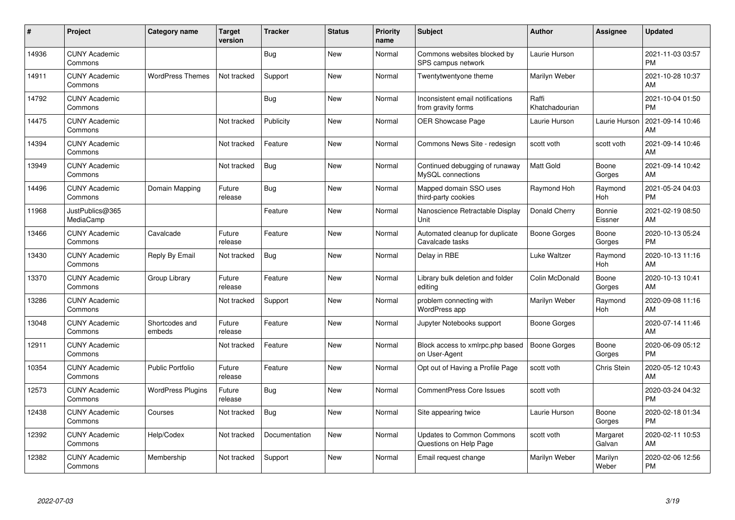| #     | Project                         | <b>Category name</b>     | <b>Target</b><br>version | <b>Tracker</b> | <b>Status</b> | <b>Priority</b><br>name | <b>Subject</b>                                             | <b>Author</b>           | <b>Assignee</b>    | <b>Updated</b>                |
|-------|---------------------------------|--------------------------|--------------------------|----------------|---------------|-------------------------|------------------------------------------------------------|-------------------------|--------------------|-------------------------------|
| 14936 | <b>CUNY Academic</b><br>Commons |                          |                          | Bug            | <b>New</b>    | Normal                  | Commons websites blocked by<br>SPS campus network          | Laurie Hurson           |                    | 2021-11-03 03:57<br><b>PM</b> |
| 14911 | <b>CUNY Academic</b><br>Commons | <b>WordPress Themes</b>  | Not tracked              | Support        | <b>New</b>    | Normal                  | Twentytwentyone theme                                      | Marilyn Weber           |                    | 2021-10-28 10:37<br>AM        |
| 14792 | <b>CUNY Academic</b><br>Commons |                          |                          | Bug            | <b>New</b>    | Normal                  | Inconsistent email notifications<br>from gravity forms     | Raffi<br>Khatchadourian |                    | 2021-10-04 01:50<br><b>PM</b> |
| 14475 | <b>CUNY Academic</b><br>Commons |                          | Not tracked              | Publicity      | <b>New</b>    | Normal                  | <b>OER Showcase Page</b>                                   | Laurie Hurson           | Laurie Hurson      | 2021-09-14 10:46<br>AM        |
| 14394 | <b>CUNY Academic</b><br>Commons |                          | Not tracked              | Feature        | New           | Normal                  | Commons News Site - redesign                               | scott voth              | scott voth         | 2021-09-14 10:46<br>AM        |
| 13949 | <b>CUNY Academic</b><br>Commons |                          | Not tracked              | Bug            | <b>New</b>    | Normal                  | Continued debugging of runaway<br>MySQL connections        | <b>Matt Gold</b>        | Boone<br>Gorges    | 2021-09-14 10:42<br>AM.       |
| 14496 | <b>CUNY Academic</b><br>Commons | Domain Mapping           | Future<br>release        | Bug            | New           | Normal                  | Mapped domain SSO uses<br>third-party cookies              | Raymond Hoh             | Raymond<br>Hoh     | 2021-05-24 04:03<br><b>PM</b> |
| 11968 | JustPublics@365<br>MediaCamp    |                          |                          | Feature        | New           | Normal                  | Nanoscience Retractable Display<br>Unit                    | Donald Cherry           | Bonnie<br>Eissner  | 2021-02-19 08:50<br>AM        |
| 13466 | <b>CUNY Academic</b><br>Commons | Cavalcade                | Future<br>release        | Feature        | New           | Normal                  | Automated cleanup for duplicate<br>Cavalcade tasks         | Boone Gorges            | Boone<br>Gorges    | 2020-10-13 05:24<br>PM.       |
| 13430 | <b>CUNY Academic</b><br>Commons | Reply By Email           | Not tracked              | Bug            | New           | Normal                  | Delay in RBE                                               | Luke Waltzer            | Raymond<br>Hoh     | 2020-10-13 11:16<br>AM        |
| 13370 | <b>CUNY Academic</b><br>Commons | Group Library            | Future<br>release        | Feature        | New           | Normal                  | Library bulk deletion and folder<br>editing                | Colin McDonald          | Boone<br>Gorges    | 2020-10-13 10:41<br>AM        |
| 13286 | <b>CUNY Academic</b><br>Commons |                          | Not tracked              | Support        | New           | Normal                  | problem connecting with<br><b>WordPress app</b>            | Marilyn Weber           | Raymond<br>Hoh     | 2020-09-08 11:16<br><b>AM</b> |
| 13048 | <b>CUNY Academic</b><br>Commons | Shortcodes and<br>embeds | Future<br>release        | Feature        | <b>New</b>    | Normal                  | Jupyter Notebooks support                                  | Boone Gorges            |                    | 2020-07-14 11:46<br><b>AM</b> |
| 12911 | <b>CUNY Academic</b><br>Commons |                          | Not tracked              | Feature        | New           | Normal                  | Block access to xmlrpc.php based<br>on User-Agent          | <b>Boone Gorges</b>     | Boone<br>Gorges    | 2020-06-09 05:12<br><b>PM</b> |
| 10354 | <b>CUNY Academic</b><br>Commons | <b>Public Portfolio</b>  | Future<br>release        | Feature        | <b>New</b>    | Normal                  | Opt out of Having a Profile Page                           | scott voth              | Chris Stein        | 2020-05-12 10:43<br><b>AM</b> |
| 12573 | <b>CUNY Academic</b><br>Commons | <b>WordPress Plugins</b> | Future<br>release        | Bug            | New           | Normal                  | <b>CommentPress Core Issues</b>                            | scott voth              |                    | 2020-03-24 04:32<br><b>PM</b> |
| 12438 | <b>CUNY Academic</b><br>Commons | Courses                  | Not tracked              | Bug            | <b>New</b>    | Normal                  | Site appearing twice                                       | Laurie Hurson           | Boone<br>Gorges    | 2020-02-18 01:34<br><b>PM</b> |
| 12392 | <b>CUNY Academic</b><br>Commons | Help/Codex               | Not tracked              | Documentation  | <b>New</b>    | Normal                  | <b>Updates to Common Commons</b><br>Questions on Help Page | scott voth              | Margaret<br>Galvan | 2020-02-11 10:53<br>AM        |
| 12382 | <b>CUNY Academic</b><br>Commons | Membership               | Not tracked              | Support        | <b>New</b>    | Normal                  | Email request change                                       | Marilyn Weber           | Marilyn<br>Weber   | 2020-02-06 12:56<br>PM        |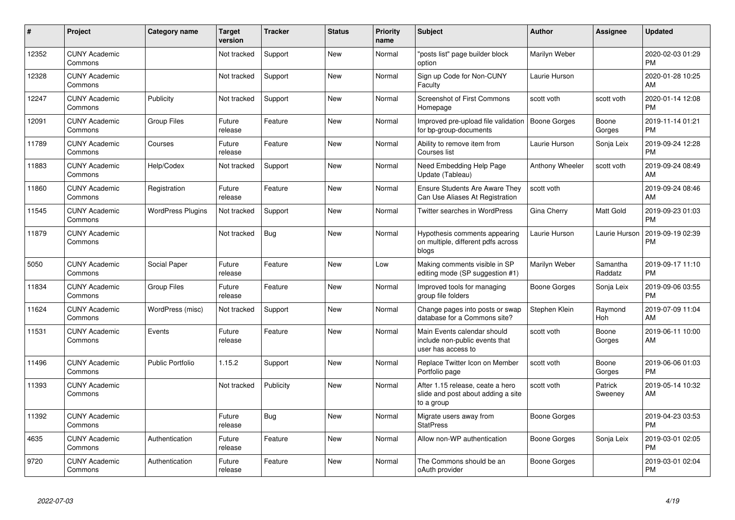| $\pmb{\#}$ | Project                         | Category name            | <b>Target</b><br>version | <b>Tracker</b> | <b>Status</b> | <b>Priority</b><br>name | <b>Subject</b>                                                                       | <b>Author</b>   | Assignee            | <b>Updated</b>                |
|------------|---------------------------------|--------------------------|--------------------------|----------------|---------------|-------------------------|--------------------------------------------------------------------------------------|-----------------|---------------------|-------------------------------|
| 12352      | <b>CUNY Academic</b><br>Commons |                          | Not tracked              | Support        | <b>New</b>    | Normal                  | "posts list" page builder block<br>option                                            | Marilyn Weber   |                     | 2020-02-03 01:29<br><b>PM</b> |
| 12328      | <b>CUNY Academic</b><br>Commons |                          | Not tracked              | Support        | <b>New</b>    | Normal                  | Sign up Code for Non-CUNY<br>Faculty                                                 | Laurie Hurson   |                     | 2020-01-28 10:25<br>AM        |
| 12247      | <b>CUNY Academic</b><br>Commons | Publicity                | Not tracked              | Support        | <b>New</b>    | Normal                  | <b>Screenshot of First Commons</b><br>Homepage                                       | scott voth      | scott voth          | 2020-01-14 12:08<br><b>PM</b> |
| 12091      | <b>CUNY Academic</b><br>Commons | <b>Group Files</b>       | Future<br>release        | Feature        | New           | Normal                  | Improved pre-upload file validation<br>for bp-group-documents                        | Boone Gorges    | Boone<br>Gorges     | 2019-11-14 01:21<br><b>PM</b> |
| 11789      | <b>CUNY Academic</b><br>Commons | Courses                  | Future<br>release        | Feature        | New           | Normal                  | Ability to remove item from<br>Courses list                                          | Laurie Hurson   | Sonja Leix          | 2019-09-24 12:28<br><b>PM</b> |
| 11883      | <b>CUNY Academic</b><br>Commons | Help/Codex               | Not tracked              | Support        | New           | Normal                  | Need Embedding Help Page<br>Update (Tableau)                                         | Anthony Wheeler | scott voth          | 2019-09-24 08:49<br>AM        |
| 11860      | <b>CUNY Academic</b><br>Commons | Registration             | Future<br>release        | Feature        | <b>New</b>    | Normal                  | <b>Ensure Students Are Aware They</b><br>Can Use Aliases At Registration             | scott voth      |                     | 2019-09-24 08:46<br>AM        |
| 11545      | <b>CUNY Academic</b><br>Commons | <b>WordPress Plugins</b> | Not tracked              | Support        | <b>New</b>    | Normal                  | <b>Twitter searches in WordPress</b>                                                 | Gina Cherry     | Matt Gold           | 2019-09-23 01:03<br><b>PM</b> |
| 11879      | <b>CUNY Academic</b><br>Commons |                          | Not tracked              | Bug            | <b>New</b>    | Normal                  | Hypothesis comments appearing<br>on multiple, different pdfs across<br>blogs         | Laurie Hurson   | Laurie Hurson       | 2019-09-19 02:39<br><b>PM</b> |
| 5050       | <b>CUNY Academic</b><br>Commons | Social Paper             | Future<br>release        | Feature        | New           | Low                     | Making comments visible in SP<br>editing mode (SP suggestion #1)                     | Marilyn Weber   | Samantha<br>Raddatz | 2019-09-17 11:10<br><b>PM</b> |
| 11834      | <b>CUNY Academic</b><br>Commons | <b>Group Files</b>       | Future<br>release        | Feature        | New           | Normal                  | Improved tools for managing<br>group file folders                                    | Boone Gorges    | Sonja Leix          | 2019-09-06 03:55<br><b>PM</b> |
| 11624      | <b>CUNY Academic</b><br>Commons | WordPress (misc)         | Not tracked              | Support        | <b>New</b>    | Normal                  | Change pages into posts or swap<br>database for a Commons site?                      | Stephen Klein   | Raymond<br>Hoh      | 2019-07-09 11:04<br>AM        |
| 11531      | <b>CUNY Academic</b><br>Commons | Events                   | Future<br>release        | Feature        | <b>New</b>    | Normal                  | Main Events calendar should<br>include non-public events that<br>user has access to  | scott voth      | Boone<br>Gorges     | 2019-06-11 10:00<br>AM        |
| 11496      | <b>CUNY Academic</b><br>Commons | <b>Public Portfolio</b>  | 1.15.2                   | Support        | New           | Normal                  | Replace Twitter Icon on Member<br>Portfolio page                                     | scott voth      | Boone<br>Gorges     | 2019-06-06 01:03<br><b>PM</b> |
| 11393      | <b>CUNY Academic</b><br>Commons |                          | Not tracked              | Publicity      | New           | Normal                  | After 1.15 release, ceate a hero<br>slide and post about adding a site<br>to a group | scott voth      | Patrick<br>Sweeney  | 2019-05-14 10:32<br>AM        |
| 11392      | <b>CUNY Academic</b><br>Commons |                          | Future<br>release        | Bug            | New           | Normal                  | Migrate users away from<br><b>StatPress</b>                                          | Boone Gorges    |                     | 2019-04-23 03:53<br><b>PM</b> |
| 4635       | <b>CUNY Academic</b><br>Commons | Authentication           | Future<br>release        | Feature        | <b>New</b>    | Normal                  | Allow non-WP authentication                                                          | Boone Gorges    | Sonja Leix          | 2019-03-01 02:05<br><b>PM</b> |
| 9720       | <b>CUNY Academic</b><br>Commons | Authentication           | Future<br>release        | Feature        | <b>New</b>    | Normal                  | The Commons should be an<br>oAuth provider                                           | Boone Gorges    |                     | 2019-03-01 02:04<br><b>PM</b> |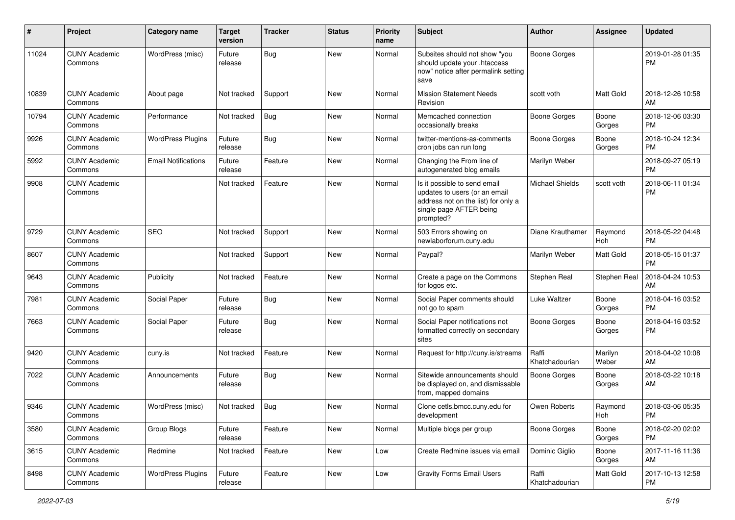| #     | Project                         | <b>Category name</b>       | <b>Target</b><br>version | <b>Tracker</b> | <b>Status</b> | <b>Priority</b><br>name | <b>Subject</b>                                                                                                                               | <b>Author</b>           | <b>Assignee</b>  | <b>Updated</b>                |
|-------|---------------------------------|----------------------------|--------------------------|----------------|---------------|-------------------------|----------------------------------------------------------------------------------------------------------------------------------------------|-------------------------|------------------|-------------------------------|
| 11024 | <b>CUNY Academic</b><br>Commons | WordPress (misc)           | Future<br>release        | Bug            | New           | Normal                  | Subsites should not show "you<br>should update your .htaccess<br>now" notice after permalink setting<br>save                                 | Boone Gorges            |                  | 2019-01-28 01:35<br><b>PM</b> |
| 10839 | <b>CUNY Academic</b><br>Commons | About page                 | Not tracked              | Support        | New           | Normal                  | <b>Mission Statement Needs</b><br>Revision                                                                                                   | scott voth              | Matt Gold        | 2018-12-26 10:58<br>AM        |
| 10794 | <b>CUNY Academic</b><br>Commons | Performance                | Not tracked              | <b>Bug</b>     | <b>New</b>    | Normal                  | Memcached connection<br>occasionally breaks                                                                                                  | <b>Boone Gorges</b>     | Boone<br>Gorges  | 2018-12-06 03:30<br>PM.       |
| 9926  | <b>CUNY Academic</b><br>Commons | <b>WordPress Plugins</b>   | Future<br>release        | Bug            | New           | Normal                  | twitter-mentions-as-comments<br>cron jobs can run long                                                                                       | <b>Boone Gorges</b>     | Boone<br>Gorges  | 2018-10-24 12:34<br><b>PM</b> |
| 5992  | <b>CUNY Academic</b><br>Commons | <b>Email Notifications</b> | Future<br>release        | Feature        | New           | Normal                  | Changing the From line of<br>autogenerated blog emails                                                                                       | Marilyn Weber           |                  | 2018-09-27 05:19<br><b>PM</b> |
| 9908  | <b>CUNY Academic</b><br>Commons |                            | Not tracked              | Feature        | New           | Normal                  | Is it possible to send email<br>updates to users (or an email<br>address not on the list) for only a<br>single page AFTER being<br>prompted? | <b>Michael Shields</b>  | scott voth       | 2018-06-11 01:34<br><b>PM</b> |
| 9729  | <b>CUNY Academic</b><br>Commons | <b>SEO</b>                 | Not tracked              | Support        | New           | Normal                  | 503 Errors showing on<br>newlaborforum.cuny.edu                                                                                              | Diane Krauthamer        | Raymond<br>Hoh   | 2018-05-22 04:48<br><b>PM</b> |
| 8607  | <b>CUNY Academic</b><br>Commons |                            | Not tracked              | Support        | New           | Normal                  | Paypal?                                                                                                                                      | Marilyn Weber           | Matt Gold        | 2018-05-15 01:37<br><b>PM</b> |
| 9643  | <b>CUNY Academic</b><br>Commons | Publicity                  | Not tracked              | Feature        | <b>New</b>    | Normal                  | Create a page on the Commons<br>for logos etc.                                                                                               | Stephen Real            | Stephen Real     | 2018-04-24 10:53<br>AM        |
| 7981  | <b>CUNY Academic</b><br>Commons | Social Paper               | Future<br>release        | Bug            | New           | Normal                  | Social Paper comments should<br>not go to spam                                                                                               | Luke Waltzer            | Boone<br>Gorges  | 2018-04-16 03:52<br><b>PM</b> |
| 7663  | <b>CUNY Academic</b><br>Commons | Social Paper               | Future<br>release        | Bug            | New           | Normal                  | Social Paper notifications not<br>formatted correctly on secondary<br>sites                                                                  | Boone Gorges            | Boone<br>Gorges  | 2018-04-16 03:52<br><b>PM</b> |
| 9420  | <b>CUNY Academic</b><br>Commons | cuny.is                    | Not tracked              | Feature        | <b>New</b>    | Normal                  | Request for http://cuny.is/streams                                                                                                           | Raffi<br>Khatchadourian | Marilyn<br>Weber | 2018-04-02 10:08<br>AM        |
| 7022  | <b>CUNY Academic</b><br>Commons | Announcements              | Future<br>release        | <b>Bug</b>     | New           | Normal                  | Sitewide announcements should<br>be displayed on, and dismissable<br>from, mapped domains                                                    | Boone Gorges            | Boone<br>Gorges  | 2018-03-22 10:18<br>AM        |
| 9346  | <b>CUNY Academic</b><br>Commons | WordPress (misc)           | Not tracked              | Bug            | New           | Normal                  | Clone cetls.bmcc.cuny.edu for<br>development                                                                                                 | Owen Roberts            | Raymond<br>Hoh   | 2018-03-06 05:35<br>PM        |
| 3580  | <b>CUNY Academic</b><br>Commons | Group Blogs                | Future<br>release        | Feature        | New           | Normal                  | Multiple blogs per group                                                                                                                     | Boone Gorges            | Boone<br>Gorges  | 2018-02-20 02:02<br><b>PM</b> |
| 3615  | <b>CUNY Academic</b><br>Commons | Redmine                    | Not tracked              | Feature        | New           | Low                     | Create Redmine issues via email                                                                                                              | Dominic Giglio          | Boone<br>Gorges  | 2017-11-16 11:36<br>AM        |
| 8498  | <b>CUNY Academic</b><br>Commons | <b>WordPress Plugins</b>   | Future<br>release        | Feature        | New           | Low                     | <b>Gravity Forms Email Users</b>                                                                                                             | Raffi<br>Khatchadourian | Matt Gold        | 2017-10-13 12:58<br><b>PM</b> |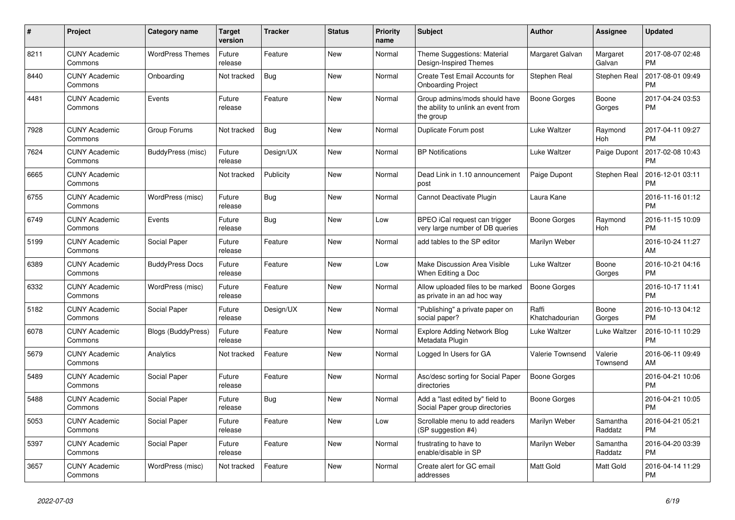| $\pmb{\#}$ | <b>Project</b>                  | Category name           | Target<br>version | <b>Tracker</b> | <b>Status</b> | <b>Priority</b><br>name | <b>Subject</b>                                                                    | <b>Author</b>           | Assignee            | <b>Updated</b>                |
|------------|---------------------------------|-------------------------|-------------------|----------------|---------------|-------------------------|-----------------------------------------------------------------------------------|-------------------------|---------------------|-------------------------------|
| 8211       | <b>CUNY Academic</b><br>Commons | <b>WordPress Themes</b> | Future<br>release | Feature        | New           | Normal                  | Theme Suggestions: Material<br>Design-Inspired Themes                             | Margaret Galvan         | Margaret<br>Galvan  | 2017-08-07 02:48<br><b>PM</b> |
| 8440       | <b>CUNY Academic</b><br>Commons | Onboarding              | Not tracked       | Bug            | New           | Normal                  | Create Test Email Accounts for<br><b>Onboarding Project</b>                       | Stephen Real            | Stephen Real        | 2017-08-01 09:49<br><b>PM</b> |
| 4481       | <b>CUNY Academic</b><br>Commons | Events                  | Future<br>release | Feature        | New           | Normal                  | Group admins/mods should have<br>the ability to unlink an event from<br>the group | Boone Gorges            | Boone<br>Gorges     | 2017-04-24 03:53<br><b>PM</b> |
| 7928       | <b>CUNY Academic</b><br>Commons | Group Forums            | Not tracked       | <b>Bug</b>     | <b>New</b>    | Normal                  | Duplicate Forum post                                                              | Luke Waltzer            | Raymond<br>Hoh      | 2017-04-11 09:27<br><b>PM</b> |
| 7624       | <b>CUNY Academic</b><br>Commons | BuddyPress (misc)       | Future<br>release | Design/UX      | New           | Normal                  | <b>BP Notifications</b>                                                           | Luke Waltzer            | Paige Dupont        | 2017-02-08 10:43<br><b>PM</b> |
| 6665       | <b>CUNY Academic</b><br>Commons |                         | Not tracked       | Publicity      | New           | Normal                  | Dead Link in 1.10 announcement<br>post                                            | Paige Dupont            | Stephen Real        | 2016-12-01 03:11<br><b>PM</b> |
| 6755       | <b>CUNY Academic</b><br>Commons | WordPress (misc)        | Future<br>release | <b>Bug</b>     | <b>New</b>    | Normal                  | Cannot Deactivate Plugin                                                          | Laura Kane              |                     | 2016-11-16 01:12<br><b>PM</b> |
| 6749       | <b>CUNY Academic</b><br>Commons | Events                  | Future<br>release | Bug            | New           | Low                     | BPEO iCal request can trigger<br>very large number of DB queries                  | Boone Gorges            | Raymond<br>Hoh      | 2016-11-15 10:09<br><b>PM</b> |
| 5199       | <b>CUNY Academic</b><br>Commons | Social Paper            | Future<br>release | Feature        | New           | Normal                  | add tables to the SP editor                                                       | Marilyn Weber           |                     | 2016-10-24 11:27<br><b>AM</b> |
| 6389       | <b>CUNY Academic</b><br>Commons | <b>BuddyPress Docs</b>  | Future<br>release | Feature        | <b>New</b>    | Low                     | Make Discussion Area Visible<br>When Editing a Doc                                | Luke Waltzer            | Boone<br>Gorges     | 2016-10-21 04:16<br><b>PM</b> |
| 6332       | <b>CUNY Academic</b><br>Commons | WordPress (misc)        | Future<br>release | Feature        | New           | Normal                  | Allow uploaded files to be marked<br>as private in an ad hoc way                  | <b>Boone Gorges</b>     |                     | 2016-10-17 11:41<br><b>PM</b> |
| 5182       | <b>CUNY Academic</b><br>Commons | Social Paper            | Future<br>release | Design/UX      | New           | Normal                  | "Publishing" a private paper on<br>social paper?                                  | Raffi<br>Khatchadourian | Boone<br>Gorges     | 2016-10-13 04:12<br><b>PM</b> |
| 6078       | <b>CUNY Academic</b><br>Commons | Blogs (BuddyPress)      | Future<br>release | Feature        | <b>New</b>    | Normal                  | <b>Explore Adding Network Blog</b><br>Metadata Plugin                             | Luke Waltzer            | Luke Waltzer        | 2016-10-11 10:29<br><b>PM</b> |
| 5679       | <b>CUNY Academic</b><br>Commons | Analytics               | Not tracked       | Feature        | New           | Normal                  | Logged In Users for GA                                                            | Valerie Townsend        | Valerie<br>Townsend | 2016-06-11 09:49<br>AM        |
| 5489       | <b>CUNY Academic</b><br>Commons | Social Paper            | Future<br>release | Feature        | New           | Normal                  | Asc/desc sorting for Social Paper<br>directories                                  | Boone Gorges            |                     | 2016-04-21 10:06<br><b>PM</b> |
| 5488       | <b>CUNY Academic</b><br>Commons | Social Paper            | Future<br>release | <b>Bug</b>     | <b>New</b>    | Normal                  | Add a "last edited by" field to<br>Social Paper group directories                 | Boone Gorges            |                     | 2016-04-21 10:05<br><b>PM</b> |
| 5053       | <b>CUNY Academic</b><br>Commons | Social Paper            | Future<br>release | Feature        | <b>New</b>    | Low                     | Scrollable menu to add readers<br>(SP suggestion #4)                              | Marilyn Weber           | Samantha<br>Raddatz | 2016-04-21 05:21<br><b>PM</b> |
| 5397       | <b>CUNY Academic</b><br>Commons | Social Paper            | Future<br>release | Feature        | New           | Normal                  | frustrating to have to<br>enable/disable in SP                                    | Marilyn Weber           | Samantha<br>Raddatz | 2016-04-20 03:39<br><b>PM</b> |
| 3657       | <b>CUNY Academic</b><br>Commons | WordPress (misc)        | Not tracked       | Feature        | <b>New</b>    | Normal                  | Create alert for GC email<br>addresses                                            | Matt Gold               | Matt Gold           | 2016-04-14 11:29<br><b>PM</b> |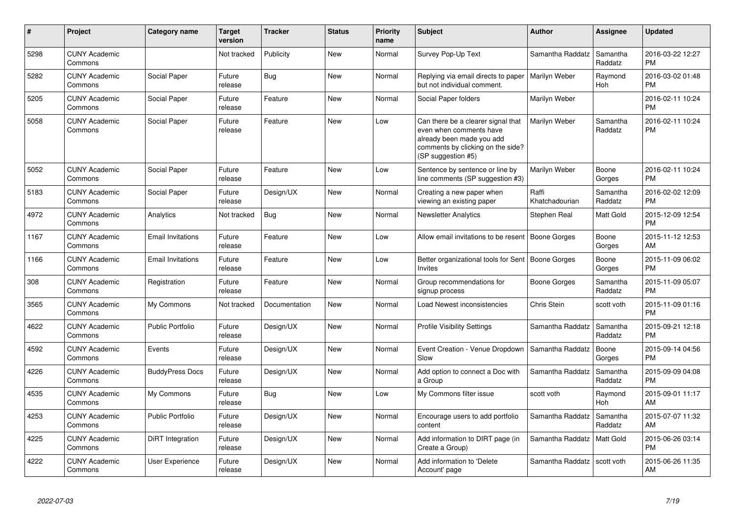| #    | Project                         | <b>Category name</b>     | <b>Target</b><br>version | <b>Tracker</b> | <b>Status</b> | <b>Priority</b><br>name | <b>Subject</b>                                                                                                                                        | <b>Author</b>           | Assignee            | <b>Updated</b>                |
|------|---------------------------------|--------------------------|--------------------------|----------------|---------------|-------------------------|-------------------------------------------------------------------------------------------------------------------------------------------------------|-------------------------|---------------------|-------------------------------|
| 5298 | <b>CUNY Academic</b><br>Commons |                          | Not tracked              | Publicity      | <b>New</b>    | Normal                  | Survey Pop-Up Text                                                                                                                                    | Samantha Raddatz        | Samantha<br>Raddatz | 2016-03-22 12:27<br><b>PM</b> |
| 5282 | <b>CUNY Academic</b><br>Commons | Social Paper             | Future<br>release        | Bug            | <b>New</b>    | Normal                  | Replying via email directs to paper<br>but not individual comment.                                                                                    | Marilyn Weber           | Raymond<br>Hoh      | 2016-03-02 01:48<br><b>PM</b> |
| 5205 | <b>CUNY Academic</b><br>Commons | Social Paper             | Future<br>release        | Feature        | New           | Normal                  | Social Paper folders                                                                                                                                  | Marilyn Weber           |                     | 2016-02-11 10:24<br><b>PM</b> |
| 5058 | <b>CUNY Academic</b><br>Commons | Social Paper             | Future<br>release        | Feature        | New           | Low                     | Can there be a clearer signal that<br>even when comments have<br>already been made you add<br>comments by clicking on the side?<br>(SP suggestion #5) | Marilyn Weber           | Samantha<br>Raddatz | 2016-02-11 10:24<br><b>PM</b> |
| 5052 | <b>CUNY Academic</b><br>Commons | Social Paper             | Future<br>release        | Feature        | <b>New</b>    | Low                     | Sentence by sentence or line by<br>line comments (SP suggestion #3)                                                                                   | Marilyn Weber           | Boone<br>Gorges     | 2016-02-11 10:24<br><b>PM</b> |
| 5183 | <b>CUNY Academic</b><br>Commons | Social Paper             | Future<br>release        | Design/UX      | <b>New</b>    | Normal                  | Creating a new paper when<br>viewing an existing paper                                                                                                | Raffi<br>Khatchadourian | Samantha<br>Raddatz | 2016-02-02 12:09<br><b>PM</b> |
| 4972 | <b>CUNY Academic</b><br>Commons | Analytics                | Not tracked              | Bug            | New           | Normal                  | <b>Newsletter Analytics</b>                                                                                                                           | Stephen Real            | Matt Gold           | 2015-12-09 12:54<br><b>PM</b> |
| 1167 | <b>CUNY Academic</b><br>Commons | <b>Email Invitations</b> | Future<br>release        | Feature        | New           | Low                     | Allow email invitations to be resent                                                                                                                  | Boone Gorges            | Boone<br>Gorges     | 2015-11-12 12:53<br>AM        |
| 1166 | <b>CUNY Academic</b><br>Commons | <b>Email Invitations</b> | Future<br>release        | Feature        | New           | Low                     | Better organizational tools for Sent   Boone Gorges<br><b>Invites</b>                                                                                 |                         | Boone<br>Gorges     | 2015-11-09 06:02<br><b>PM</b> |
| 308  | <b>CUNY Academic</b><br>Commons | Registration             | Future<br>release        | Feature        | <b>New</b>    | Normal                  | Group recommendations for<br>signup process                                                                                                           | Boone Gorges            | Samantha<br>Raddatz | 2015-11-09 05:07<br><b>PM</b> |
| 3565 | <b>CUNY Academic</b><br>Commons | My Commons               | Not tracked              | Documentation  | <b>New</b>    | Normal                  | Load Newest inconsistencies                                                                                                                           | Chris Stein             | scott voth          | 2015-11-09 01:16<br><b>PM</b> |
| 4622 | <b>CUNY Academic</b><br>Commons | <b>Public Portfolio</b>  | Future<br>release        | Design/UX      | <b>New</b>    | Normal                  | Profile Visibility Settings                                                                                                                           | Samantha Raddatz        | Samantha<br>Raddatz | 2015-09-21 12:18<br><b>PM</b> |
| 4592 | <b>CUNY Academic</b><br>Commons | Events                   | Future<br>release        | Design/UX      | <b>New</b>    | Normal                  | Event Creation - Venue Dropdown<br>Slow                                                                                                               | Samantha Raddatz        | Boone<br>Gorges     | 2015-09-14 04:56<br><b>PM</b> |
| 4226 | <b>CUNY Academic</b><br>Commons | <b>BuddyPress Docs</b>   | Future<br>release        | Design/UX      | New           | Normal                  | Add option to connect a Doc with<br>a Group                                                                                                           | Samantha Raddatz        | Samantha<br>Raddatz | 2015-09-09 04:08<br><b>PM</b> |
| 4535 | <b>CUNY Academic</b><br>Commons | My Commons               | Future<br>release        | Bug            | New           | Low                     | My Commons filter issue                                                                                                                               | scott voth              | Raymond<br>Hoh      | 2015-09-01 11:17<br>AM        |
| 4253 | <b>CUNY Academic</b><br>Commons | <b>Public Portfolio</b>  | Future<br>release        | Design/UX      | New           | Normal                  | Encourage users to add portfolio<br>content                                                                                                           | Samantha Raddatz        | Samantha<br>Raddatz | 2015-07-07 11:32<br>AM        |
| 4225 | <b>CUNY Academic</b><br>Commons | DiRT Integration         | Future<br>release        | Design/UX      | New           | Normal                  | Add information to DIRT page (in<br>Create a Group)                                                                                                   | Samantha Raddatz        | Matt Gold           | 2015-06-26 03:14<br><b>PM</b> |
| 4222 | <b>CUNY Academic</b><br>Commons | <b>User Experience</b>   | Future<br>release        | Design/UX      | <b>New</b>    | Normal                  | Add information to 'Delete<br>Account' page                                                                                                           | Samantha Raddatz        | scott voth          | 2015-06-26 11:35<br>AM        |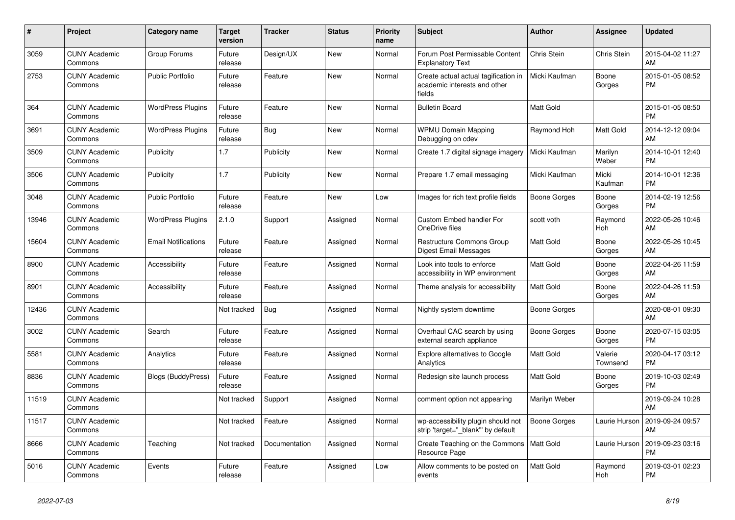| #     | <b>Project</b>                  | Category name              | <b>Target</b><br>version | <b>Tracker</b> | <b>Status</b> | <b>Priority</b><br>name | <b>Subject</b>                                                                 | <b>Author</b>       | Assignee            | <b>Updated</b>                |
|-------|---------------------------------|----------------------------|--------------------------|----------------|---------------|-------------------------|--------------------------------------------------------------------------------|---------------------|---------------------|-------------------------------|
| 3059  | <b>CUNY Academic</b><br>Commons | Group Forums               | Future<br>release        | Design/UX      | <b>New</b>    | Normal                  | Forum Post Permissable Content<br><b>Explanatory Text</b>                      | Chris Stein         | Chris Stein         | 2015-04-02 11:27<br>AM        |
| 2753  | <b>CUNY Academic</b><br>Commons | <b>Public Portfolio</b>    | Future<br>release        | Feature        | New           | Normal                  | Create actual actual tagification in<br>academic interests and other<br>fields | Micki Kaufman       | Boone<br>Gorges     | 2015-01-05 08:52<br><b>PM</b> |
| 364   | <b>CUNY Academic</b><br>Commons | <b>WordPress Plugins</b>   | Future<br>release        | Feature        | <b>New</b>    | Normal                  | <b>Bulletin Board</b>                                                          | Matt Gold           |                     | 2015-01-05 08:50<br><b>PM</b> |
| 3691  | <b>CUNY Academic</b><br>Commons | <b>WordPress Plugins</b>   | Future<br>release        | Bug            | <b>New</b>    | Normal                  | <b>WPMU Domain Mapping</b><br>Debugging on cdev                                | Raymond Hoh         | Matt Gold           | 2014-12-12 09:04<br>AM        |
| 3509  | <b>CUNY Academic</b><br>Commons | Publicity                  | 1.7                      | Publicity      | New           | Normal                  | Create 1.7 digital signage imagery                                             | Micki Kaufman       | Marilyn<br>Weber    | 2014-10-01 12:40<br><b>PM</b> |
| 3506  | <b>CUNY Academic</b><br>Commons | Publicity                  | 1.7                      | Publicity      | <b>New</b>    | Normal                  | Prepare 1.7 email messaging                                                    | Micki Kaufman       | Micki<br>Kaufman    | 2014-10-01 12:36<br><b>PM</b> |
| 3048  | <b>CUNY Academic</b><br>Commons | Public Portfolio           | Future<br>release        | Feature        | <b>New</b>    | Low                     | Images for rich text profile fields                                            | Boone Gorges        | Boone<br>Gorges     | 2014-02-19 12:56<br><b>PM</b> |
| 13946 | <b>CUNY Academic</b><br>Commons | <b>WordPress Plugins</b>   | 2.1.0                    | Support        | Assigned      | Normal                  | Custom Embed handler For<br>OneDrive files                                     | scott voth          | Raymond<br>Hoh      | 2022-05-26 10:46<br>AM        |
| 15604 | <b>CUNY Academic</b><br>Commons | <b>Email Notifications</b> | Future<br>release        | Feature        | Assigned      | Normal                  | <b>Restructure Commons Group</b><br>Digest Email Messages                      | <b>Matt Gold</b>    | Boone<br>Gorges     | 2022-05-26 10:45<br>AM        |
| 8900  | <b>CUNY Academic</b><br>Commons | Accessibility              | Future<br>release        | Feature        | Assigned      | Normal                  | Look into tools to enforce<br>accessibility in WP environment                  | <b>Matt Gold</b>    | Boone<br>Gorges     | 2022-04-26 11:59<br>AM        |
| 8901  | <b>CUNY Academic</b><br>Commons | Accessibility              | Future<br>release        | Feature        | Assigned      | Normal                  | Theme analysis for accessibility                                               | <b>Matt Gold</b>    | Boone<br>Gorges     | 2022-04-26 11:59<br>AM        |
| 12436 | <b>CUNY Academic</b><br>Commons |                            | Not tracked              | Bug            | Assigned      | Normal                  | Nightly system downtime                                                        | Boone Gorges        |                     | 2020-08-01 09:30<br>AM        |
| 3002  | <b>CUNY Academic</b><br>Commons | Search                     | Future<br>release        | Feature        | Assigned      | Normal                  | Overhaul CAC search by using<br>external search appliance                      | Boone Gorges        | Boone<br>Gorges     | 2020-07-15 03:05<br><b>PM</b> |
| 5581  | <b>CUNY Academic</b><br>Commons | Analytics                  | Future<br>release        | Feature        | Assigned      | Normal                  | <b>Explore alternatives to Google</b><br>Analytics                             | <b>Matt Gold</b>    | Valerie<br>Townsend | 2020-04-17 03:12<br><b>PM</b> |
| 8836  | <b>CUNY Academic</b><br>Commons | <b>Blogs (BuddyPress)</b>  | Future<br>release        | Feature        | Assigned      | Normal                  | Redesign site launch process                                                   | <b>Matt Gold</b>    | Boone<br>Gorges     | 2019-10-03 02:49<br><b>PM</b> |
| 11519 | <b>CUNY Academic</b><br>Commons |                            | Not tracked              | Support        | Assigned      | Normal                  | comment option not appearing                                                   | Marilyn Weber       |                     | 2019-09-24 10:28<br>AM        |
| 11517 | <b>CUNY Academic</b><br>Commons |                            | Not tracked              | Feature        | Assigned      | Normal                  | wp-accessibility plugin should not<br>strip 'target=" blank" by default        | <b>Boone Gorges</b> | Laurie Hurson       | 2019-09-24 09:57<br>AM        |
| 8666  | <b>CUNY Academic</b><br>Commons | Teaching                   | Not tracked              | Documentation  | Assigned      | Normal                  | Create Teaching on the Commons<br>Resource Page                                | Matt Gold           | Laurie Hurson       | 2019-09-23 03:16<br><b>PM</b> |
| 5016  | <b>CUNY Academic</b><br>Commons | Events                     | Future<br>release        | Feature        | Assigned      | Low                     | Allow comments to be posted on<br>events                                       | <b>Matt Gold</b>    | Raymond<br>Hoh      | 2019-03-01 02:23<br><b>PM</b> |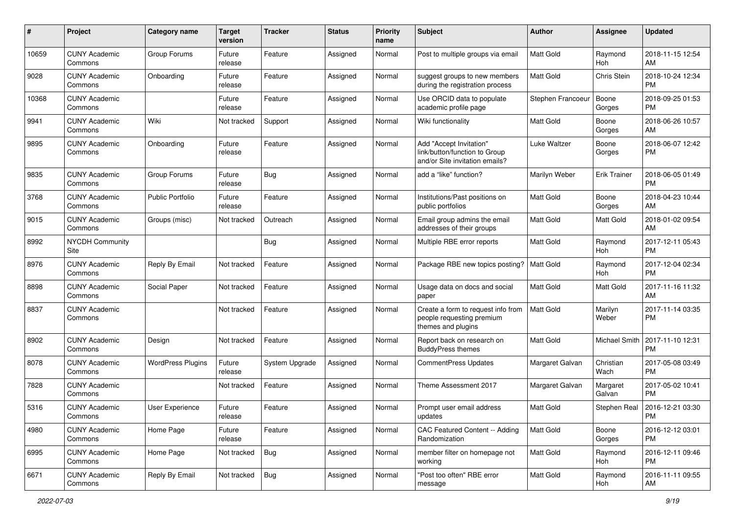| #     | Project                         | <b>Category name</b>     | <b>Target</b><br>version | Tracker        | <b>Status</b> | <b>Priority</b><br>name | <b>Subject</b>                                                                             | Author            | Assignee            | <b>Updated</b>                |
|-------|---------------------------------|--------------------------|--------------------------|----------------|---------------|-------------------------|--------------------------------------------------------------------------------------------|-------------------|---------------------|-------------------------------|
| 10659 | <b>CUNY Academic</b><br>Commons | Group Forums             | Future<br>release        | Feature        | Assigned      | Normal                  | Post to multiple groups via email                                                          | <b>Matt Gold</b>  | Raymond<br>Hoh      | 2018-11-15 12:54<br>AM        |
| 9028  | <b>CUNY Academic</b><br>Commons | Onboarding               | Future<br>release        | Feature        | Assigned      | Normal                  | suggest groups to new members<br>during the registration process                           | Matt Gold         | Chris Stein         | 2018-10-24 12:34<br><b>PM</b> |
| 10368 | <b>CUNY Academic</b><br>Commons |                          | Future<br>release        | Feature        | Assigned      | Normal                  | Use ORCID data to populate<br>academic profile page                                        | Stephen Francoeur | Boone<br>Gorges     | 2018-09-25 01:53<br><b>PM</b> |
| 9941  | <b>CUNY Academic</b><br>Commons | Wiki                     | Not tracked              | Support        | Assigned      | Normal                  | Wiki functionality                                                                         | <b>Matt Gold</b>  | Boone<br>Gorges     | 2018-06-26 10:57<br>AM        |
| 9895  | <b>CUNY Academic</b><br>Commons | Onboarding               | Future<br>release        | Feature        | Assigned      | Normal                  | Add "Accept Invitation"<br>link/button/function to Group<br>and/or Site invitation emails? | Luke Waltzer      | Boone<br>Gorges     | 2018-06-07 12:42<br><b>PM</b> |
| 9835  | <b>CUNY Academic</b><br>Commons | Group Forums             | Future<br>release        | Bug            | Assigned      | Normal                  | add a "like" function?                                                                     | Marilyn Weber     | <b>Erik Trainer</b> | 2018-06-05 01:49<br><b>PM</b> |
| 3768  | <b>CUNY Academic</b><br>Commons | <b>Public Portfolio</b>  | Future<br>release        | Feature        | Assigned      | Normal                  | Institutions/Past positions on<br>public portfolios                                        | <b>Matt Gold</b>  | Boone<br>Gorges     | 2018-04-23 10:44<br>AM        |
| 9015  | <b>CUNY Academic</b><br>Commons | Groups (misc)            | Not tracked              | Outreach       | Assigned      | Normal                  | Email group admins the email<br>addresses of their groups                                  | <b>Matt Gold</b>  | Matt Gold           | 2018-01-02 09:54<br>AM        |
| 8992  | NYCDH Community<br>Site         |                          |                          | <b>Bug</b>     | Assigned      | Normal                  | Multiple RBE error reports                                                                 | <b>Matt Gold</b>  | Raymond<br>Hoh      | 2017-12-11 05:43<br><b>PM</b> |
| 8976  | <b>CUNY Academic</b><br>Commons | Reply By Email           | Not tracked              | Feature        | Assigned      | Normal                  | Package RBE new topics posting?                                                            | Matt Gold         | Raymond<br>Hoh      | 2017-12-04 02:34<br><b>PM</b> |
| 8898  | <b>CUNY Academic</b><br>Commons | Social Paper             | Not tracked              | Feature        | Assigned      | Normal                  | Usage data on docs and social<br>paper                                                     | Matt Gold         | Matt Gold           | 2017-11-16 11:32<br>AM        |
| 8837  | <b>CUNY Academic</b><br>Commons |                          | Not tracked              | Feature        | Assigned      | Normal                  | Create a form to request info from<br>people requesting premium<br>themes and plugins      | <b>Matt Gold</b>  | Marilyn<br>Weber    | 2017-11-14 03:35<br><b>PM</b> |
| 8902  | <b>CUNY Academic</b><br>Commons | Design                   | Not tracked              | Feature        | Assigned      | Normal                  | Report back on research on<br><b>BuddyPress themes</b>                                     | <b>Matt Gold</b>  | Michael Smith       | 2017-11-10 12:31<br><b>PM</b> |
| 8078  | <b>CUNY Academic</b><br>Commons | <b>WordPress Plugins</b> | Future<br>release        | System Upgrade | Assigned      | Normal                  | <b>CommentPress Updates</b>                                                                | Margaret Galvan   | Christian<br>Wach   | 2017-05-08 03:49<br><b>PM</b> |
| 7828  | <b>CUNY Academic</b><br>Commons |                          | Not tracked              | Feature        | Assigned      | Normal                  | Theme Assessment 2017                                                                      | Margaret Galvan   | Margaret<br>Galvan  | 2017-05-02 10:41<br><b>PM</b> |
| 5316  | <b>CUNY Academic</b><br>Commons | User Experience          | Future<br>release        | Feature        | Assigned      | Normal                  | Prompt user email address<br>updates                                                       | <b>Matt Gold</b>  | Stephen Real        | 2016-12-21 03:30<br>PM        |
| 4980  | <b>CUNY Academic</b><br>Commons | Home Page                | Future<br>release        | Feature        | Assigned      | Normal                  | CAC Featured Content -- Adding<br>Randomization                                            | Matt Gold         | Boone<br>Gorges     | 2016-12-12 03:01<br><b>PM</b> |
| 6995  | <b>CUNY Academic</b><br>Commons | Home Page                | Not tracked              | <b>Bug</b>     | Assigned      | Normal                  | member filter on homepage not<br>working                                                   | Matt Gold         | Raymond<br>Hoh      | 2016-12-11 09:46<br><b>PM</b> |
| 6671  | <b>CUNY Academic</b><br>Commons | Reply By Email           | Not tracked              | <b>Bug</b>     | Assigned      | Normal                  | "Post too often" RBE error<br>message                                                      | Matt Gold         | Raymond<br>Hoh      | 2016-11-11 09:55<br>AM        |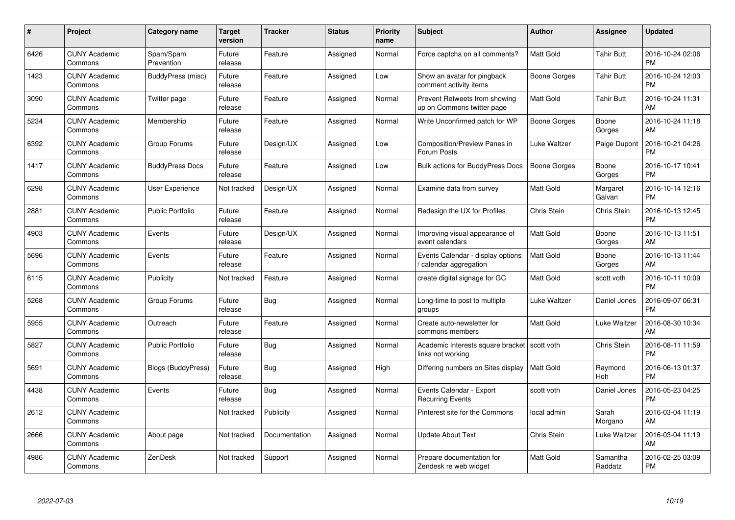| $\#$ | Project                         | <b>Category name</b>      | <b>Target</b><br>version | <b>Tracker</b> | <b>Status</b> | Priority<br>name | <b>Subject</b>                                                      | <b>Author</b>    | <b>Assignee</b>     | <b>Updated</b>                |
|------|---------------------------------|---------------------------|--------------------------|----------------|---------------|------------------|---------------------------------------------------------------------|------------------|---------------------|-------------------------------|
| 6426 | <b>CUNY Academic</b><br>Commons | Spam/Spam<br>Prevention   | Future<br>release        | Feature        | Assigned      | Normal           | Force captcha on all comments?                                      | <b>Matt Gold</b> | <b>Tahir Butt</b>   | 2016-10-24 02:06<br><b>PM</b> |
| 1423 | <b>CUNY Academic</b><br>Commons | BuddyPress (misc)         | Future<br>release        | Feature        | Assigned      | Low              | Show an avatar for pingback<br>comment activity items               | Boone Gorges     | Tahir Butt          | 2016-10-24 12:03<br><b>PM</b> |
| 3090 | <b>CUNY Academic</b><br>Commons | Twitter page              | Future<br>release        | Feature        | Assigned      | Normal           | Prevent Retweets from showing<br>up on Commons twitter page         | Matt Gold        | <b>Tahir Butt</b>   | 2016-10-24 11:31<br>AM        |
| 5234 | <b>CUNY Academic</b><br>Commons | Membership                | Future<br>release        | Feature        | Assigned      | Normal           | Write Unconfirmed patch for WP                                      | Boone Gorges     | Boone<br>Gorges     | 2016-10-24 11:18<br>AM        |
| 6392 | <b>CUNY Academic</b><br>Commons | Group Forums              | Future<br>release        | Design/UX      | Assigned      | Low              | Composition/Preview Panes in<br>Forum Posts                         | Luke Waltzer     | Paige Dupont        | 2016-10-21 04:26<br><b>PM</b> |
| 1417 | <b>CUNY Academic</b><br>Commons | <b>BuddyPress Docs</b>    | Future<br>release        | Feature        | Assigned      | Low              | Bulk actions for BuddyPress Docs                                    | Boone Gorges     | Boone<br>Gorges     | 2016-10-17 10:41<br><b>PM</b> |
| 6298 | <b>CUNY Academic</b><br>Commons | User Experience           | Not tracked              | Design/UX      | Assigned      | Normal           | Examine data from survey                                            | Matt Gold        | Margaret<br>Galvan  | 2016-10-14 12:16<br><b>PM</b> |
| 2881 | <b>CUNY Academic</b><br>Commons | <b>Public Portfolio</b>   | Future<br>release        | Feature        | Assigned      | Normal           | Redesign the UX for Profiles                                        | Chris Stein      | Chris Stein         | 2016-10-13 12:45<br><b>PM</b> |
| 4903 | <b>CUNY Academic</b><br>Commons | Events                    | Future<br>release        | Design/UX      | Assigned      | Normal           | Improving visual appearance of<br>event calendars                   | <b>Matt Gold</b> | Boone<br>Gorges     | 2016-10-13 11:51<br>AM        |
| 5696 | <b>CUNY Academic</b><br>Commons | Events                    | Future<br>release        | Feature        | Assigned      | Normal           | Events Calendar - display options<br>calendar aggregation /         | <b>Matt Gold</b> | Boone<br>Gorges     | 2016-10-13 11:44<br>AM        |
| 6115 | <b>CUNY Academic</b><br>Commons | Publicity                 | Not tracked              | Feature        | Assigned      | Normal           | create digital signage for GC                                       | Matt Gold        | scott voth          | 2016-10-11 10:09<br><b>PM</b> |
| 5268 | <b>CUNY Academic</b><br>Commons | Group Forums              | Future<br>release        | Bug            | Assigned      | Normal           | Long-time to post to multiple<br>groups                             | Luke Waltzer     | Daniel Jones        | 2016-09-07 06:31<br><b>PM</b> |
| 5955 | <b>CUNY Academic</b><br>Commons | Outreach                  | Future<br>release        | Feature        | Assigned      | Normal           | Create auto-newsletter for<br>commons members                       | Matt Gold        | Luke Waltzer        | 2016-08-30 10:34<br>AM        |
| 5827 | <b>CUNY Academic</b><br>Commons | <b>Public Portfolio</b>   | Future<br>release        | Bug            | Assigned      | Normal           | Academic Interests square bracket   scott voth<br>links not working |                  | Chris Stein         | 2016-08-11 11:59<br><b>PM</b> |
| 5691 | <b>CUNY Academic</b><br>Commons | <b>Blogs (BuddyPress)</b> | Future<br>release        | Bug            | Assigned      | High             | Differing numbers on Sites display                                  | Matt Gold        | Raymond<br>Hoh      | 2016-06-13 01:37<br><b>PM</b> |
| 4438 | <b>CUNY Academic</b><br>Commons | Events                    | Future<br>release        | Bug            | Assigned      | Normal           | Events Calendar - Export<br><b>Recurring Events</b>                 | scott voth       | Daniel Jones        | 2016-05-23 04:25<br><b>PM</b> |
| 2612 | <b>CUNY Academic</b><br>Commons |                           | Not tracked              | Publicity      | Assigned      | Normal           | Pinterest site for the Commons                                      | local admin      | Sarah<br>Morgano    | 2016-03-04 11:19<br>AM        |
| 2666 | <b>CUNY Academic</b><br>Commons | About page                | Not tracked              | Documentation  | Assigned      | Normal           | <b>Update About Text</b>                                            | Chris Stein      | Luke Waltzer        | 2016-03-04 11:19<br>AM        |
| 4986 | <b>CUNY Academic</b><br>Commons | ZenDesk                   | Not tracked              | Support        | Assigned      | Normal           | Prepare documentation for<br>Zendesk re web widget                  | <b>Matt Gold</b> | Samantha<br>Raddatz | 2016-02-25 03:09<br><b>PM</b> |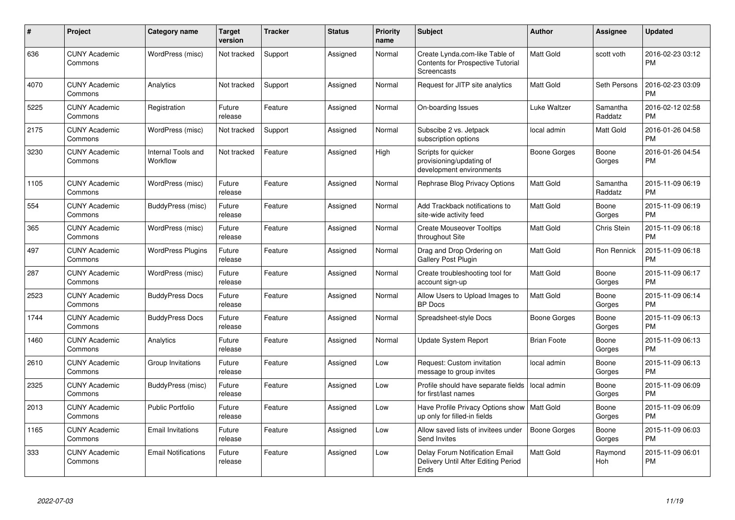| $\#$ | Project                         | <b>Category name</b>           | <b>Target</b><br>version | <b>Tracker</b> | <b>Status</b> | <b>Priority</b><br>name | <b>Subject</b>                                                                            | Author              | <b>Assignee</b>       | <b>Updated</b>                |
|------|---------------------------------|--------------------------------|--------------------------|----------------|---------------|-------------------------|-------------------------------------------------------------------------------------------|---------------------|-----------------------|-------------------------------|
| 636  | <b>CUNY Academic</b><br>Commons | WordPress (misc)               | Not tracked              | Support        | Assigned      | Normal                  | Create Lynda.com-like Table of<br><b>Contents for Prospective Tutorial</b><br>Screencasts | <b>Matt Gold</b>    | scott voth            | 2016-02-23 03:12<br><b>PM</b> |
| 4070 | <b>CUNY Academic</b><br>Commons | Analytics                      | Not tracked              | Support        | Assigned      | Normal                  | Request for JITP site analytics                                                           | Matt Gold           | Seth Persons          | 2016-02-23 03:09<br><b>PM</b> |
| 5225 | <b>CUNY Academic</b><br>Commons | Registration                   | Future<br>release        | Feature        | Assigned      | Normal                  | On-boarding Issues                                                                        | Luke Waltzer        | Samantha<br>Raddatz   | 2016-02-12 02:58<br>PM        |
| 2175 | <b>CUNY Academic</b><br>Commons | WordPress (misc)               | Not tracked              | Support        | Assigned      | Normal                  | Subscibe 2 vs. Jetpack<br>subscription options                                            | local admin         | Matt Gold             | 2016-01-26 04:58<br>PM        |
| 3230 | <b>CUNY Academic</b><br>Commons | Internal Tools and<br>Workflow | Not tracked              | Feature        | Assigned      | High                    | Scripts for quicker<br>provisioning/updating of<br>development environments               | Boone Gorges        | Boone<br>Gorges       | 2016-01-26 04:54<br><b>PM</b> |
| 1105 | <b>CUNY Academic</b><br>Commons | WordPress (misc)               | Future<br>release        | Feature        | Assigned      | Normal                  | Rephrase Blog Privacy Options                                                             | Matt Gold           | Samantha<br>Raddatz   | 2015-11-09 06:19<br><b>PM</b> |
| 554  | <b>CUNY Academic</b><br>Commons | BuddyPress (misc)              | Future<br>release        | Feature        | Assigned      | Normal                  | Add Trackback notifications to<br>site-wide activity feed                                 | Matt Gold           | Boone<br>Gorges       | 2015-11-09 06:19<br>PM        |
| 365  | <b>CUNY Academic</b><br>Commons | WordPress (misc)               | Future<br>release        | Feature        | Assigned      | Normal                  | <b>Create Mouseover Tooltips</b><br>throughout Site                                       | <b>Matt Gold</b>    | Chris Stein           | 2015-11-09 06:18<br><b>PM</b> |
| 497  | <b>CUNY Academic</b><br>Commons | <b>WordPress Plugins</b>       | Future<br>release        | Feature        | Assigned      | Normal                  | Drag and Drop Ordering on<br>Gallery Post Plugin                                          | Matt Gold           | Ron Rennick           | 2015-11-09 06:18<br><b>PM</b> |
| 287  | <b>CUNY Academic</b><br>Commons | WordPress (misc)               | Future<br>release        | Feature        | Assigned      | Normal                  | Create troubleshooting tool for<br>account sign-up                                        | Matt Gold           | Boone<br>Gorges       | 2015-11-09 06:17<br><b>PM</b> |
| 2523 | <b>CUNY Academic</b><br>Commons | <b>BuddyPress Docs</b>         | Future<br>release        | Feature        | Assigned      | Normal                  | Allow Users to Upload Images to<br><b>BP</b> Docs                                         | Matt Gold           | Boone<br>Gorges       | 2015-11-09 06:14<br><b>PM</b> |
| 1744 | <b>CUNY Academic</b><br>Commons | <b>BuddyPress Docs</b>         | Future<br>release        | Feature        | Assigned      | Normal                  | Spreadsheet-style Docs                                                                    | <b>Boone Gorges</b> | Boone<br>Gorges       | 2015-11-09 06:13<br><b>PM</b> |
| 1460 | <b>CUNY Academic</b><br>Commons | Analytics                      | Future<br>release        | Feature        | Assigned      | Normal                  | <b>Update System Report</b>                                                               | <b>Brian Foote</b>  | Boone<br>Gorges       | 2015-11-09 06:13<br><b>PM</b> |
| 2610 | <b>CUNY Academic</b><br>Commons | Group Invitations              | Future<br>release        | Feature        | Assigned      | Low                     | Request: Custom invitation<br>message to group invites                                    | local admin         | Boone<br>Gorges       | 2015-11-09 06:13<br><b>PM</b> |
| 2325 | <b>CUNY Academic</b><br>Commons | BuddyPress (misc)              | Future<br>release        | Feature        | Assigned      | Low                     | Profile should have separate fields<br>for first/last names                               | local admin         | Boone<br>Gorges       | 2015-11-09 06:09<br><b>PM</b> |
| 2013 | <b>CUNY Academic</b><br>Commons | Public Portfolio               | Future<br>release        | Feature        | Assigned      | Low                     | Have Profile Privacy Options show   Matt Gold<br>up only for filled-in fields             |                     | Boone<br>Gorges       | 2015-11-09 06:09<br>PM        |
| 1165 | <b>CUNY Academic</b><br>Commons | <b>Email Invitations</b>       | Future<br>release        | Feature        | Assigned      | Low                     | Allow saved lists of invitees under<br>Send Invites                                       | <b>Boone Gorges</b> | Boone<br>Gorges       | 2015-11-09 06:03<br><b>PM</b> |
| 333  | <b>CUNY Academic</b><br>Commons | <b>Email Notifications</b>     | Future<br>release        | Feature        | Assigned      | Low                     | <b>Delay Forum Notification Email</b><br>Delivery Until After Editing Period<br>Ends      | Matt Gold           | Raymond<br><b>Hoh</b> | 2015-11-09 06:01<br><b>PM</b> |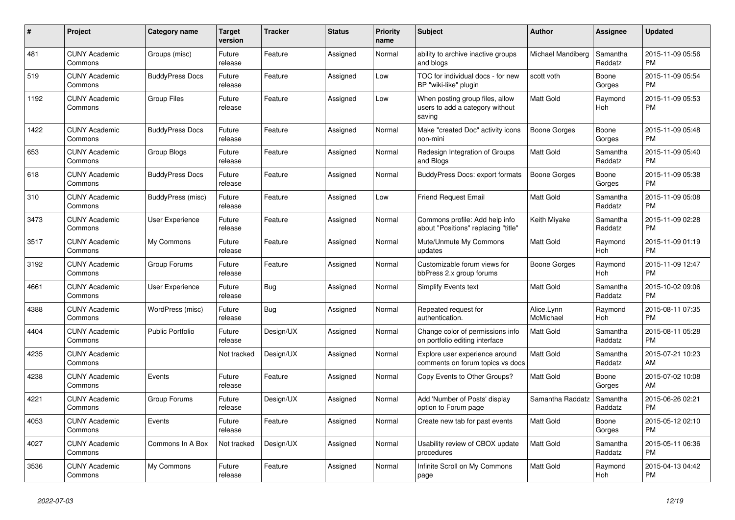| #    | Project                         | Category name          | Target<br>version | <b>Tracker</b> | <b>Status</b> | <b>Priority</b><br>name | <b>Subject</b>                                                               | <b>Author</b>           | Assignee            | <b>Updated</b>                |
|------|---------------------------------|------------------------|-------------------|----------------|---------------|-------------------------|------------------------------------------------------------------------------|-------------------------|---------------------|-------------------------------|
| 481  | <b>CUNY Academic</b><br>Commons | Groups (misc)          | Future<br>release | Feature        | Assigned      | Normal                  | ability to archive inactive groups<br>and blogs                              | Michael Mandiberg       | Samantha<br>Raddatz | 2015-11-09 05:56<br><b>PM</b> |
| 519  | <b>CUNY Academic</b><br>Commons | <b>BuddyPress Docs</b> | Future<br>release | Feature        | Assigned      | Low                     | TOC for individual docs - for new<br>BP "wiki-like" plugin                   | scott voth              | Boone<br>Gorges     | 2015-11-09 05:54<br>PM.       |
| 1192 | <b>CUNY Academic</b><br>Commons | Group Files            | Future<br>release | Feature        | Assigned      | Low                     | When posting group files, allow<br>users to add a category without<br>saving | Matt Gold               | Raymond<br>Hoh      | 2015-11-09 05:53<br><b>PM</b> |
| 1422 | <b>CUNY Academic</b><br>Commons | <b>BuddyPress Docs</b> | Future<br>release | Feature        | Assigned      | Normal                  | Make "created Doc" activity icons<br>non-mini                                | Boone Gorges            | Boone<br>Gorges     | 2015-11-09 05:48<br>PM.       |
| 653  | <b>CUNY Academic</b><br>Commons | Group Blogs            | Future<br>release | Feature        | Assigned      | Normal                  | Redesign Integration of Groups<br>and Blogs                                  | Matt Gold               | Samantha<br>Raddatz | 2015-11-09 05:40<br><b>PM</b> |
| 618  | <b>CUNY Academic</b><br>Commons | <b>BuddyPress Docs</b> | Future<br>release | Feature        | Assigned      | Normal                  | BuddyPress Docs: export formats                                              | Boone Gorges            | Boone<br>Gorges     | 2015-11-09 05:38<br><b>PM</b> |
| 310  | <b>CUNY Academic</b><br>Commons | BuddyPress (misc)      | Future<br>release | Feature        | Assigned      | Low                     | <b>Friend Request Email</b>                                                  | Matt Gold               | Samantha<br>Raddatz | 2015-11-09 05:08<br><b>PM</b> |
| 3473 | <b>CUNY Academic</b><br>Commons | User Experience        | Future<br>release | Feature        | Assigned      | Normal                  | Commons profile: Add help info<br>about "Positions" replacing "title"        | Keith Miyake            | Samantha<br>Raddatz | 2015-11-09 02:28<br><b>PM</b> |
| 3517 | <b>CUNY Academic</b><br>Commons | My Commons             | Future<br>release | Feature        | Assigned      | Normal                  | Mute/Unmute My Commons<br>updates                                            | Matt Gold               | Raymond<br>Hoh      | 2015-11-09 01:19<br><b>PM</b> |
| 3192 | <b>CUNY Academic</b><br>Commons | Group Forums           | Future<br>release | Feature        | Assigned      | Normal                  | Customizable forum views for<br>bbPress 2.x group forums                     | Boone Gorges            | Raymond<br>Hoh      | 2015-11-09 12:47<br><b>PM</b> |
| 4661 | <b>CUNY Academic</b><br>Commons | User Experience        | Future<br>release | Bug            | Assigned      | Normal                  | <b>Simplify Events text</b>                                                  | <b>Matt Gold</b>        | Samantha<br>Raddatz | 2015-10-02 09:06<br><b>PM</b> |
| 4388 | <b>CUNY Academic</b><br>Commons | WordPress (misc)       | Future<br>release | Bug            | Assigned      | Normal                  | Repeated request for<br>authentication.                                      | Alice.Lynn<br>McMichael | Raymond<br>Hoh      | 2015-08-11 07:35<br><b>PM</b> |
| 4404 | <b>CUNY Academic</b><br>Commons | Public Portfolio       | Future<br>release | Design/UX      | Assigned      | Normal                  | Change color of permissions info<br>on portfolio editing interface           | Matt Gold               | Samantha<br>Raddatz | 2015-08-11 05:28<br><b>PM</b> |
| 4235 | <b>CUNY Academic</b><br>Commons |                        | Not tracked       | Design/UX      | Assigned      | Normal                  | Explore user experience around<br>comments on forum topics vs docs           | Matt Gold               | Samantha<br>Raddatz | 2015-07-21 10:23<br>AM        |
| 4238 | <b>CUNY Academic</b><br>Commons | Events                 | Future<br>release | Feature        | Assigned      | Normal                  | Copy Events to Other Groups?                                                 | Matt Gold               | Boone<br>Gorges     | 2015-07-02 10:08<br>AM.       |
| 4221 | <b>CUNY Academic</b><br>Commons | Group Forums           | Future<br>release | Design/UX      | Assigned      | Normal                  | Add 'Number of Posts' display<br>option to Forum page                        | Samantha Raddatz        | Samantha<br>Raddatz | 2015-06-26 02:21<br><b>PM</b> |
| 4053 | <b>CUNY Academic</b><br>Commons | Events                 | Future<br>release | Feature        | Assigned      | Normal                  | Create new tab for past events                                               | Matt Gold               | Boone<br>Gorges     | 2015-05-12 02:10<br><b>PM</b> |
| 4027 | <b>CUNY Academic</b><br>Commons | Commons In A Box       | Not tracked       | Design/UX      | Assigned      | Normal                  | Usability review of CBOX update<br>procedures                                | Matt Gold               | Samantha<br>Raddatz | 2015-05-11 06:36<br><b>PM</b> |
| 3536 | <b>CUNY Academic</b><br>Commons | My Commons             | Future<br>release | Feature        | Assigned      | Normal                  | Infinite Scroll on My Commons<br>page                                        | Matt Gold               | Raymond<br>Hoh      | 2015-04-13 04:42<br><b>PM</b> |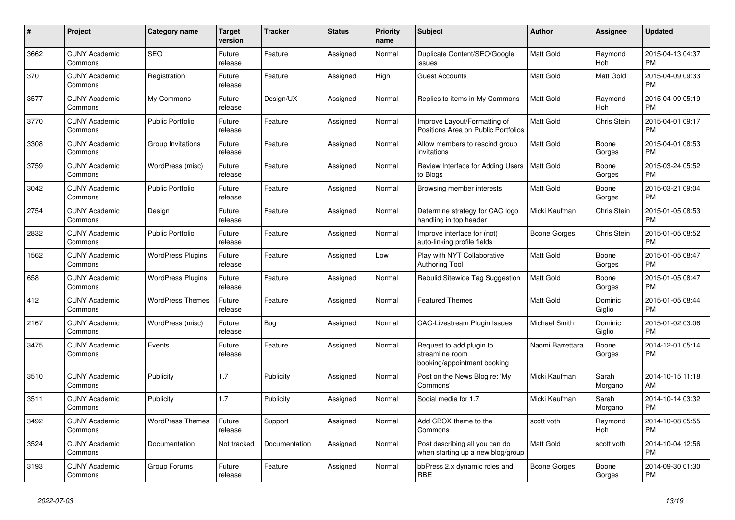| $\#$ | <b>Project</b>                  | Category name            | <b>Target</b><br>version | <b>Tracker</b> | <b>Status</b> | <b>Priority</b><br>name | <b>Subject</b>                                                             | <b>Author</b>    | Assignee           | <b>Updated</b>                |
|------|---------------------------------|--------------------------|--------------------------|----------------|---------------|-------------------------|----------------------------------------------------------------------------|------------------|--------------------|-------------------------------|
| 3662 | <b>CUNY Academic</b><br>Commons | <b>SEO</b>               | Future<br>release        | Feature        | Assigned      | Normal                  | Duplicate Content/SEO/Google<br>issues                                     | <b>Matt Gold</b> | Raymond<br>Hoh     | 2015-04-13 04:37<br><b>PM</b> |
| 370  | <b>CUNY Academic</b><br>Commons | Registration             | Future<br>release        | Feature        | Assigned      | High                    | <b>Guest Accounts</b>                                                      | Matt Gold        | Matt Gold          | 2015-04-09 09:33<br><b>PM</b> |
| 3577 | <b>CUNY Academic</b><br>Commons | My Commons               | Future<br>release        | Design/UX      | Assigned      | Normal                  | Replies to items in My Commons                                             | <b>Matt Gold</b> | Raymond<br>Hoh     | 2015-04-09 05:19<br><b>PM</b> |
| 3770 | <b>CUNY Academic</b><br>Commons | <b>Public Portfolio</b>  | Future<br>release        | Feature        | Assigned      | Normal                  | Improve Layout/Formatting of<br>Positions Area on Public Portfolios        | Matt Gold        | Chris Stein        | 2015-04-01 09:17<br><b>PM</b> |
| 3308 | <b>CUNY Academic</b><br>Commons | Group Invitations        | Future<br>release        | Feature        | Assigned      | Normal                  | Allow members to rescind group<br>invitations                              | Matt Gold        | Boone<br>Gorges    | 2015-04-01 08:53<br><b>PM</b> |
| 3759 | <b>CUNY Academic</b><br>Commons | WordPress (misc)         | Future<br>release        | Feature        | Assigned      | Normal                  | Review Interface for Adding Users<br>to Blogs                              | Matt Gold        | Boone<br>Gorges    | 2015-03-24 05:52<br><b>PM</b> |
| 3042 | <b>CUNY Academic</b><br>Commons | <b>Public Portfolio</b>  | Future<br>release        | Feature        | Assigned      | Normal                  | Browsing member interests                                                  | Matt Gold        | Boone<br>Gorges    | 2015-03-21 09:04<br><b>PM</b> |
| 2754 | <b>CUNY Academic</b><br>Commons | Design                   | Future<br>release        | Feature        | Assigned      | Normal                  | Determine strategy for CAC logo<br>handling in top header                  | Micki Kaufman    | <b>Chris Stein</b> | 2015-01-05 08:53<br><b>PM</b> |
| 2832 | <b>CUNY Academic</b><br>Commons | <b>Public Portfolio</b>  | Future<br>release        | Feature        | Assigned      | Normal                  | Improve interface for (not)<br>auto-linking profile fields                 | Boone Gorges     | Chris Stein        | 2015-01-05 08:52<br><b>PM</b> |
| 1562 | <b>CUNY Academic</b><br>Commons | <b>WordPress Plugins</b> | Future<br>release        | Feature        | Assigned      | Low                     | Play with NYT Collaborative<br>Authoring Tool                              | Matt Gold        | Boone<br>Gorges    | 2015-01-05 08:47<br><b>PM</b> |
| 658  | <b>CUNY Academic</b><br>Commons | <b>WordPress Plugins</b> | Future<br>release        | Feature        | Assigned      | Normal                  | Rebulid Sitewide Tag Suggestion                                            | <b>Matt Gold</b> | Boone<br>Gorges    | 2015-01-05 08:47<br><b>PM</b> |
| 412  | <b>CUNY Academic</b><br>Commons | <b>WordPress Themes</b>  | Future<br>release        | Feature        | Assigned      | Normal                  | <b>Featured Themes</b>                                                     | Matt Gold        | Dominic<br>Giglio  | 2015-01-05 08:44<br><b>PM</b> |
| 2167 | <b>CUNY Academic</b><br>Commons | WordPress (misc)         | Future<br>release        | <b>Bug</b>     | Assigned      | Normal                  | <b>CAC-Livestream Plugin Issues</b>                                        | Michael Smith    | Dominic<br>Giglio  | 2015-01-02 03:06<br><b>PM</b> |
| 3475 | <b>CUNY Academic</b><br>Commons | Events                   | Future<br>release        | Feature        | Assigned      | Normal                  | Request to add plugin to<br>streamline room<br>booking/appointment booking | Naomi Barrettara | Boone<br>Gorges    | 2014-12-01 05:14<br><b>PM</b> |
| 3510 | <b>CUNY Academic</b><br>Commons | Publicity                | 1.7                      | Publicity      | Assigned      | Normal                  | Post on the News Blog re: 'My<br>Commons'                                  | Micki Kaufman    | Sarah<br>Morgano   | 2014-10-15 11:18<br>AM        |
| 3511 | <b>CUNY Academic</b><br>Commons | Publicity                | 1.7                      | Publicity      | Assigned      | Normal                  | Social media for 1.7                                                       | Micki Kaufman    | Sarah<br>Morgano   | 2014-10-14 03:32<br><b>PM</b> |
| 3492 | <b>CUNY Academic</b><br>Commons | <b>WordPress Themes</b>  | Future<br>release        | Support        | Assigned      | Normal                  | Add CBOX theme to the<br>Commons                                           | scott voth       | Raymond<br>Hoh     | 2014-10-08 05:55<br><b>PM</b> |
| 3524 | <b>CUNY Academic</b><br>Commons | Documentation            | Not tracked              | Documentation  | Assigned      | Normal                  | Post describing all you can do<br>when starting up a new blog/group        | Matt Gold        | scott voth         | 2014-10-04 12:56<br><b>PM</b> |
| 3193 | <b>CUNY Academic</b><br>Commons | Group Forums             | Future<br>release        | Feature        | Assigned      | Normal                  | bbPress 2.x dynamic roles and<br><b>RBE</b>                                | Boone Gorges     | Boone<br>Gorges    | 2014-09-30 01:30<br><b>PM</b> |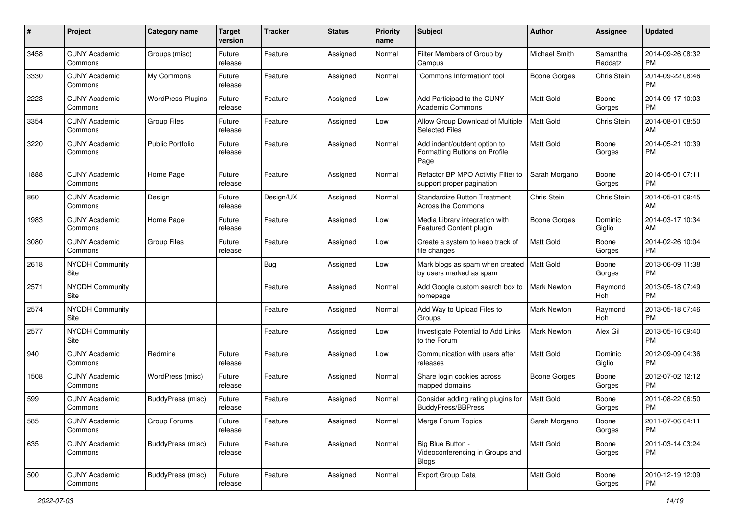| $\#$ | Project                         | <b>Category name</b>     | <b>Target</b><br>version | <b>Tracker</b> | <b>Status</b> | Priority<br>name | <b>Subject</b>                                                        | <b>Author</b>       | <b>Assignee</b>     | <b>Updated</b>                |
|------|---------------------------------|--------------------------|--------------------------|----------------|---------------|------------------|-----------------------------------------------------------------------|---------------------|---------------------|-------------------------------|
| 3458 | <b>CUNY Academic</b><br>Commons | Groups (misc)            | Future<br>release        | Feature        | Assigned      | Normal           | Filter Members of Group by<br>Campus                                  | Michael Smith       | Samantha<br>Raddatz | 2014-09-26 08:32<br>PM.       |
| 3330 | <b>CUNY Academic</b><br>Commons | My Commons               | Future<br>release        | Feature        | Assigned      | Normal           | "Commons Information" tool                                            | <b>Boone Gorges</b> | Chris Stein         | 2014-09-22 08:46<br><b>PM</b> |
| 2223 | <b>CUNY Academic</b><br>Commons | <b>WordPress Plugins</b> | Future<br>release        | Feature        | Assigned      | Low              | Add Participad to the CUNY<br><b>Academic Commons</b>                 | Matt Gold           | Boone<br>Gorges     | 2014-09-17 10:03<br><b>PM</b> |
| 3354 | <b>CUNY Academic</b><br>Commons | <b>Group Files</b>       | Future<br>release        | Feature        | Assigned      | Low              | Allow Group Download of Multiple<br><b>Selected Files</b>             | Matt Gold           | Chris Stein         | 2014-08-01 08:50<br>AM        |
| 3220 | <b>CUNY Academic</b><br>Commons | Public Portfolio         | Future<br>release        | Feature        | Assigned      | Normal           | Add indent/outdent option to<br>Formatting Buttons on Profile<br>Page | Matt Gold           | Boone<br>Gorges     | 2014-05-21 10:39<br><b>PM</b> |
| 1888 | <b>CUNY Academic</b><br>Commons | Home Page                | Future<br>release        | Feature        | Assigned      | Normal           | Refactor BP MPO Activity Filter to<br>support proper pagination       | Sarah Morgano       | Boone<br>Gorges     | 2014-05-01 07:11<br><b>PM</b> |
| 860  | <b>CUNY Academic</b><br>Commons | Design                   | Future<br>release        | Design/UX      | Assigned      | Normal           | <b>Standardize Button Treatment</b><br>Across the Commons             | Chris Stein         | Chris Stein         | 2014-05-01 09:45<br>AM        |
| 1983 | <b>CUNY Academic</b><br>Commons | Home Page                | Future<br>release        | Feature        | Assigned      | Low              | Media Library integration with<br>Featured Content plugin             | Boone Gorges        | Dominic<br>Giglio   | 2014-03-17 10:34<br>AM        |
| 3080 | <b>CUNY Academic</b><br>Commons | <b>Group Files</b>       | Future<br>release        | Feature        | Assigned      | Low              | Create a system to keep track of<br>file changes                      | <b>Matt Gold</b>    | Boone<br>Gorges     | 2014-02-26 10:04<br>PM.       |
| 2618 | <b>NYCDH Community</b><br>Site  |                          |                          | Bug            | Assigned      | Low              | Mark blogs as spam when created<br>by users marked as spam            | <b>Matt Gold</b>    | Boone<br>Gorges     | 2013-06-09 11:38<br><b>PM</b> |
| 2571 | <b>NYCDH Community</b><br>Site  |                          |                          | Feature        | Assigned      | Normal           | Add Google custom search box to<br>homepage                           | Mark Newton         | Raymond<br>Hoh      | 2013-05-18 07:49<br><b>PM</b> |
| 2574 | <b>NYCDH Community</b><br>Site  |                          |                          | Feature        | Assigned      | Normal           | Add Way to Upload Files to<br>Groups                                  | Mark Newton         | Raymond<br>Hoh      | 2013-05-18 07:46<br><b>PM</b> |
| 2577 | <b>NYCDH Community</b><br>Site  |                          |                          | Feature        | Assigned      | Low              | Investigate Potential to Add Links<br>to the Forum                    | Mark Newton         | Alex Gil            | 2013-05-16 09:40<br><b>PM</b> |
| 940  | <b>CUNY Academic</b><br>Commons | Redmine                  | Future<br>release        | Feature        | Assigned      | Low              | Communication with users after<br>releases                            | <b>Matt Gold</b>    | Dominic<br>Giglio   | 2012-09-09 04:36<br><b>PM</b> |
| 1508 | <b>CUNY Academic</b><br>Commons | WordPress (misc)         | Future<br>release        | Feature        | Assigned      | Normal           | Share login cookies across<br>mapped domains                          | <b>Boone Gorges</b> | Boone<br>Gorges     | 2012-07-02 12:12<br><b>PM</b> |
| 599  | <b>CUNY Academic</b><br>Commons | BuddyPress (misc)        | Future<br>release        | Feature        | Assigned      | Normal           | Consider adding rating plugins for<br><b>BuddyPress/BBPress</b>       | Matt Gold           | Boone<br>Gorges     | 2011-08-22 06:50<br><b>PM</b> |
| 585  | <b>CUNY Academic</b><br>Commons | Group Forums             | Future<br>release        | Feature        | Assigned      | Normal           | Merge Forum Topics                                                    | Sarah Morgano       | Boone<br>Gorges     | 2011-07-06 04:11<br>PM        |
| 635  | <b>CUNY Academic</b><br>Commons | BuddyPress (misc)        | Future<br>release        | Feature        | Assigned      | Normal           | Big Blue Button -<br>Videoconferencing in Groups and<br><b>Blogs</b>  | Matt Gold           | Boone<br>Gorges     | 2011-03-14 03:24<br><b>PM</b> |
| 500  | <b>CUNY Academic</b><br>Commons | <b>BuddyPress (misc)</b> | Future<br>release        | Feature        | Assigned      | Normal           | Export Group Data                                                     | Matt Gold           | Boone<br>Gorges     | 2010-12-19 12:09<br><b>PM</b> |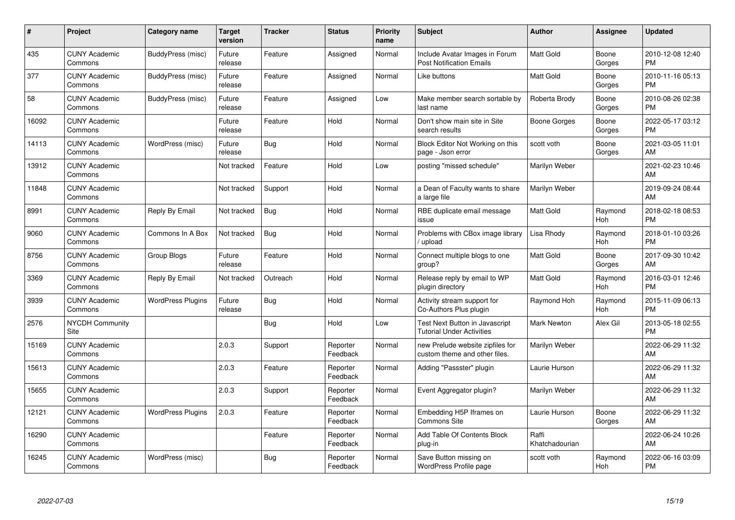| $\pmb{\#}$ | Project                         | Category name            | <b>Target</b><br>version | <b>Tracker</b> | <b>Status</b>        | <b>Priority</b><br>name | <b>Subject</b>                                                     | <b>Author</b>           | Assignee        | <b>Updated</b>                |
|------------|---------------------------------|--------------------------|--------------------------|----------------|----------------------|-------------------------|--------------------------------------------------------------------|-------------------------|-----------------|-------------------------------|
| 435        | <b>CUNY Academic</b><br>Commons | BuddyPress (misc)        | Future<br>release        | Feature        | Assigned             | Normal                  | Include Avatar Images in Forum<br><b>Post Notification Emails</b>  | <b>Matt Gold</b>        | Boone<br>Gorges | 2010-12-08 12:40<br><b>PM</b> |
| 377        | <b>CUNY Academic</b><br>Commons | BuddyPress (misc)        | Future<br>release        | Feature        | Assigned             | Normal                  | Like buttons                                                       | Matt Gold               | Boone<br>Gorges | 2010-11-16 05:13<br><b>PM</b> |
| 58         | <b>CUNY Academic</b><br>Commons | BuddyPress (misc)        | Future<br>release        | Feature        | Assigned             | Low                     | Make member search sortable by<br>last name                        | Roberta Brody           | Boone<br>Gorges | 2010-08-26 02:38<br><b>PM</b> |
| 16092      | <b>CUNY Academic</b><br>Commons |                          | Future<br>release        | Feature        | Hold                 | Normal                  | Don't show main site in Site<br>search results                     | Boone Gorges            | Boone<br>Gorges | 2022-05-17 03:12<br><b>PM</b> |
| 14113      | <b>CUNY Academic</b><br>Commons | WordPress (misc)         | Future<br>release        | Bug            | Hold                 | Normal                  | Block Editor Not Working on this<br>page - Json error              | scott voth              | Boone<br>Gorges | 2021-03-05 11:01<br>AM        |
| 13912      | <b>CUNY Academic</b><br>Commons |                          | Not tracked              | Feature        | Hold                 | Low                     | posting "missed schedule"                                          | Marilyn Weber           |                 | 2021-02-23 10:46<br>AM        |
| 11848      | <b>CUNY Academic</b><br>Commons |                          | Not tracked              | Support        | Hold                 | Normal                  | a Dean of Faculty wants to share<br>a large file                   | Marilyn Weber           |                 | 2019-09-24 08:44<br>AM        |
| 8991       | <b>CUNY Academic</b><br>Commons | Reply By Email           | Not tracked              | Bug            | Hold                 | Normal                  | RBE duplicate email message<br>issue                               | <b>Matt Gold</b>        | Raymond<br>Hoh  | 2018-02-18 08:53<br><b>PM</b> |
| 9060       | <b>CUNY Academic</b><br>Commons | Commons In A Box         | Not tracked              | Bug            | Hold                 | Normal                  | Problems with CBox image library<br>/ upload                       | Lisa Rhody              | Raymond<br>Hoh  | 2018-01-10 03:26<br><b>PM</b> |
| 8756       | <b>CUNY Academic</b><br>Commons | Group Blogs              | Future<br>release        | Feature        | Hold                 | Normal                  | Connect multiple blogs to one<br>group?                            | <b>Matt Gold</b>        | Boone<br>Gorges | 2017-09-30 10:42<br>AM        |
| 3369       | <b>CUNY Academic</b><br>Commons | Reply By Email           | Not tracked              | Outreach       | Hold                 | Normal                  | Release reply by email to WP<br>plugin directory                   | Matt Gold               | Raymond<br>Hoh  | 2016-03-01 12:46<br><b>PM</b> |
| 3939       | <b>CUNY Academic</b><br>Commons | <b>WordPress Plugins</b> | Future<br>release        | Bug            | Hold                 | Normal                  | Activity stream support for<br>Co-Authors Plus plugin              | Raymond Hoh             | Raymond<br>Hoh  | 2015-11-09 06:13<br><b>PM</b> |
| 2576       | <b>NYCDH Community</b><br>Site  |                          |                          | Bug            | Hold                 | Low                     | Test Next Button in Javascript<br><b>Tutorial Under Activities</b> | Mark Newton             | Alex Gil        | 2013-05-18 02:55<br><b>PM</b> |
| 15169      | <b>CUNY Academic</b><br>Commons |                          | 2.0.3                    | Support        | Reporter<br>Feedback | Normal                  | new Prelude website zipfiles for<br>custom theme and other files.  | Marilyn Weber           |                 | 2022-06-29 11:32<br>AM        |
| 15613      | <b>CUNY Academic</b><br>Commons |                          | 2.0.3                    | Feature        | Reporter<br>Feedback | Normal                  | Adding "Passster" plugin                                           | Laurie Hurson           |                 | 2022-06-29 11:32<br>AM        |
| 15655      | <b>CUNY Academic</b><br>Commons |                          | 2.0.3                    | Support        | Reporter<br>Feedback | Normal                  | Event Aggregator plugin?                                           | Marilyn Weber           |                 | 2022-06-29 11:32<br>AM        |
| 12121      | <b>CUNY Academic</b><br>Commons | <b>WordPress Plugins</b> | 2.0.3                    | Feature        | Reporter<br>Feedback | Normal                  | Embedding H5P Iframes on<br>Commons Site                           | Laurie Hurson           | Boone<br>Gorges | 2022-06-29 11:32<br>AM        |
| 16290      | <b>CUNY Academic</b><br>Commons |                          |                          | Feature        | Reporter<br>Feedback | Normal                  | Add Table Of Contents Block<br>plug-in                             | Raffi<br>Khatchadourian |                 | 2022-06-24 10:26<br>AM        |
| 16245      | <b>CUNY Academic</b><br>Commons | WordPress (misc)         |                          | <b>Bug</b>     | Reporter<br>Feedback | Normal                  | Save Button missing on<br>WordPress Profile page                   | scott voth              | Raymond<br>Hoh  | 2022-06-16 03:09<br>PM        |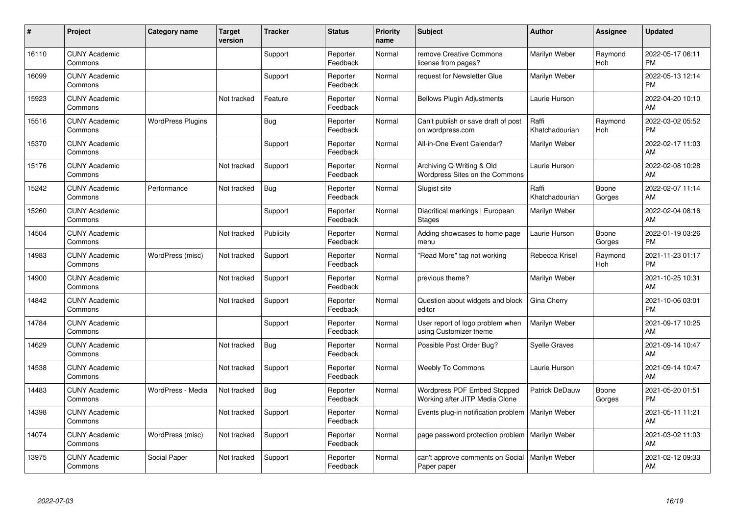| #     | Project                         | Category name            | <b>Target</b><br>version | <b>Tracker</b> | <b>Status</b>        | Priority<br>name | <b>Subject</b>                                                | <b>Author</b>           | <b>Assignee</b> | <b>Updated</b>                |
|-------|---------------------------------|--------------------------|--------------------------|----------------|----------------------|------------------|---------------------------------------------------------------|-------------------------|-----------------|-------------------------------|
| 16110 | <b>CUNY Academic</b><br>Commons |                          |                          | Support        | Reporter<br>Feedback | Normal           | remove Creative Commons<br>license from pages?                | Marilyn Weber           | Raymond<br>Hoh  | 2022-05-17 06:11<br><b>PM</b> |
| 16099 | <b>CUNY Academic</b><br>Commons |                          |                          | Support        | Reporter<br>Feedback | Normal           | request for Newsletter Glue                                   | Marilyn Weber           |                 | 2022-05-13 12:14<br><b>PM</b> |
| 15923 | <b>CUNY Academic</b><br>Commons |                          | Not tracked              | Feature        | Reporter<br>Feedback | Normal           | <b>Bellows Plugin Adjustments</b>                             | Laurie Hurson           |                 | 2022-04-20 10:10<br>AM        |
| 15516 | <b>CUNY Academic</b><br>Commons | <b>WordPress Plugins</b> |                          | Bug            | Reporter<br>Feedback | Normal           | Can't publish or save draft of post<br>on wordpress.com       | Raffi<br>Khatchadourian | Raymond<br>Hoh  | 2022-03-02 05:52<br><b>PM</b> |
| 15370 | <b>CUNY Academic</b><br>Commons |                          |                          | Support        | Reporter<br>Feedback | Normal           | All-in-One Event Calendar?                                    | Marilyn Weber           |                 | 2022-02-17 11:03<br>AM        |
| 15176 | <b>CUNY Academic</b><br>Commons |                          | Not tracked              | Support        | Reporter<br>Feedback | Normal           | Archiving Q Writing & Old<br>Wordpress Sites on the Commons   | Laurie Hurson           |                 | 2022-02-08 10:28<br>AM        |
| 15242 | <b>CUNY Academic</b><br>Commons | Performance              | Not tracked              | Bug            | Reporter<br>Feedback | Normal           | Slugist site                                                  | Raffi<br>Khatchadourian | Boone<br>Gorges | 2022-02-07 11:14<br>AM        |
| 15260 | <b>CUNY Academic</b><br>Commons |                          |                          | Support        | Reporter<br>Feedback | Normal           | Diacritical markings   European<br><b>Stages</b>              | Marilyn Weber           |                 | 2022-02-04 08:16<br>AM        |
| 14504 | <b>CUNY Academic</b><br>Commons |                          | Not tracked              | Publicity      | Reporter<br>Feedback | Normal           | Adding showcases to home page<br>menu                         | Laurie Hurson           | Boone<br>Gorges | 2022-01-19 03:26<br><b>PM</b> |
| 14983 | <b>CUNY Academic</b><br>Commons | WordPress (misc)         | Not tracked              | Support        | Reporter<br>Feedback | Normal           | 'Read More" tag not working                                   | Rebecca Krisel          | Raymond<br>Hoh  | 2021-11-23 01:17<br><b>PM</b> |
| 14900 | <b>CUNY Academic</b><br>Commons |                          | Not tracked              | Support        | Reporter<br>Feedback | Normal           | previous theme?                                               | Marilyn Weber           |                 | 2021-10-25 10:31<br>AM        |
| 14842 | <b>CUNY Academic</b><br>Commons |                          | Not tracked              | Support        | Reporter<br>Feedback | Normal           | Question about widgets and block<br>editor                    | Gina Cherry             |                 | 2021-10-06 03:01<br><b>PM</b> |
| 14784 | <b>CUNY Academic</b><br>Commons |                          |                          | Support        | Reporter<br>Feedback | Normal           | User report of logo problem when<br>using Customizer theme    | Marilyn Weber           |                 | 2021-09-17 10:25<br>AM        |
| 14629 | <b>CUNY Academic</b><br>Commons |                          | Not tracked              | Bug            | Reporter<br>Feedback | Normal           | Possible Post Order Bug?                                      | <b>Syelle Graves</b>    |                 | 2021-09-14 10:47<br>AM        |
| 14538 | <b>CUNY Academic</b><br>Commons |                          | Not tracked              | Support        | Reporter<br>Feedback | Normal           | <b>Weebly To Commons</b>                                      | Laurie Hurson           |                 | 2021-09-14 10:47<br>AM        |
| 14483 | <b>CUNY Academic</b><br>Commons | WordPress - Media        | Not tracked              | Bug            | Reporter<br>Feedback | Normal           | Wordpress PDF Embed Stopped<br>Working after JITP Media Clone | Patrick DeDauw          | Boone<br>Gorges | 2021-05-20 01:51<br><b>PM</b> |
| 14398 | <b>CUNY Academic</b><br>Commons |                          | Not tracked              | Support        | Reporter<br>Feedback | Normal           | Events plug-in notification problem   Marilyn Weber           |                         |                 | 2021-05-11 11:21<br>AM        |
| 14074 | <b>CUNY Academic</b><br>Commons | WordPress (misc)         | Not tracked              | Support        | Reporter<br>Feedback | Normal           | page password protection problem                              | Marilyn Weber           |                 | 2021-03-02 11:03<br>AM        |
| 13975 | <b>CUNY Academic</b><br>Commons | Social Paper             | Not tracked              | Support        | Reporter<br>Feedback | Normal           | can't approve comments on Social<br>Paper paper               | Marilyn Weber           |                 | 2021-02-12 09:33<br>AM        |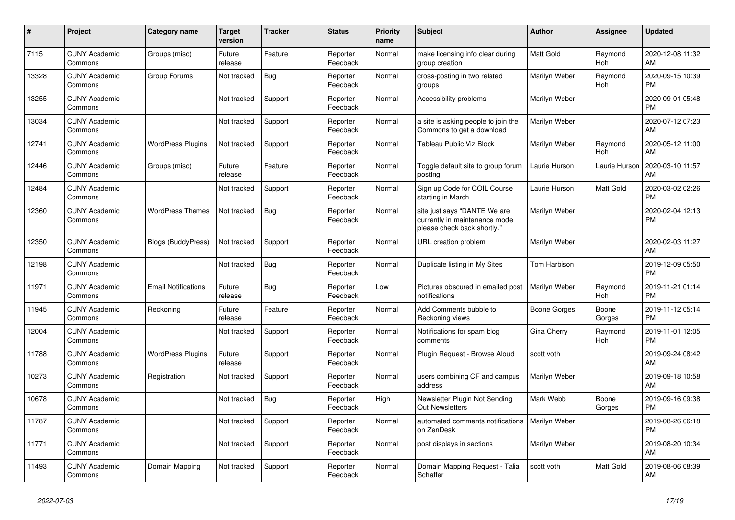| $\vert$ # | <b>Project</b>                  | Category name              | <b>Target</b><br>version | <b>Tracker</b> | <b>Status</b>        | Priority<br>name | <b>Subject</b>                                                                                | <b>Author</b>       | Assignee        | <b>Updated</b>                |
|-----------|---------------------------------|----------------------------|--------------------------|----------------|----------------------|------------------|-----------------------------------------------------------------------------------------------|---------------------|-----------------|-------------------------------|
| 7115      | <b>CUNY Academic</b><br>Commons | Groups (misc)              | Future<br>release        | Feature        | Reporter<br>Feedback | Normal           | make licensing info clear during<br>group creation                                            | <b>Matt Gold</b>    | Raymond<br>Hoh  | 2020-12-08 11:32<br>AM        |
| 13328     | <b>CUNY Academic</b><br>Commons | Group Forums               | Not tracked              | Bug            | Reporter<br>Feedback | Normal           | cross-posting in two related<br>groups                                                        | Marilyn Weber       | Raymond<br>Hoh  | 2020-09-15 10:39<br><b>PM</b> |
| 13255     | <b>CUNY Academic</b><br>Commons |                            | Not tracked              | Support        | Reporter<br>Feedback | Normal           | Accessibility problems                                                                        | Marilyn Weber       |                 | 2020-09-01 05:48<br><b>PM</b> |
| 13034     | <b>CUNY Academic</b><br>Commons |                            | Not tracked              | Support        | Reporter<br>Feedback | Normal           | a site is asking people to join the<br>Commons to get a download                              | Marilyn Weber       |                 | 2020-07-12 07:23<br>AM        |
| 12741     | <b>CUNY Academic</b><br>Commons | <b>WordPress Plugins</b>   | Not tracked              | Support        | Reporter<br>Feedback | Normal           | Tableau Public Viz Block                                                                      | Marilyn Weber       | Raymond<br>Hoh  | 2020-05-12 11:00<br>AM        |
| 12446     | <b>CUNY Academic</b><br>Commons | Groups (misc)              | Future<br>release        | Feature        | Reporter<br>Feedback | Normal           | Toggle default site to group forum<br>posting                                                 | Laurie Hurson       | Laurie Hurson   | 2020-03-10 11:57<br>AM        |
| 12484     | <b>CUNY Academic</b><br>Commons |                            | Not tracked              | Support        | Reporter<br>Feedback | Normal           | Sign up Code for COIL Course<br>starting in March                                             | Laurie Hurson       | Matt Gold       | 2020-03-02 02:26<br><b>PM</b> |
| 12360     | <b>CUNY Academic</b><br>Commons | <b>WordPress Themes</b>    | Not tracked              | <b>Bug</b>     | Reporter<br>Feedback | Normal           | site just says "DANTE We are<br>currently in maintenance mode,<br>please check back shortly." | Marilyn Weber       |                 | 2020-02-04 12:13<br><b>PM</b> |
| 12350     | <b>CUNY Academic</b><br>Commons | <b>Blogs (BuddyPress)</b>  | Not tracked              | Support        | Reporter<br>Feedback | Normal           | URL creation problem                                                                          | Marilyn Weber       |                 | 2020-02-03 11:27<br>AM        |
| 12198     | <b>CUNY Academic</b><br>Commons |                            | Not tracked              | Bug            | Reporter<br>Feedback | Normal           | Duplicate listing in My Sites                                                                 | <b>Tom Harbison</b> |                 | 2019-12-09 05:50<br><b>PM</b> |
| 11971     | <b>CUNY Academic</b><br>Commons | <b>Email Notifications</b> | Future<br>release        | Bug            | Reporter<br>Feedback | Low              | Pictures obscured in emailed post<br>notifications                                            | Marilyn Weber       | Raymond<br>Hoh  | 2019-11-21 01:14<br><b>PM</b> |
| 11945     | <b>CUNY Academic</b><br>Commons | Reckoning                  | Future<br>release        | Feature        | Reporter<br>Feedback | Normal           | Add Comments bubble to<br>Reckoning views                                                     | Boone Gorges        | Boone<br>Gorges | 2019-11-12 05:14<br><b>PM</b> |
| 12004     | <b>CUNY Academic</b><br>Commons |                            | Not tracked              | Support        | Reporter<br>Feedback | Normal           | Notifications for spam blog<br>comments                                                       | Gina Cherry         | Raymond<br>Hoh  | 2019-11-01 12:05<br><b>PM</b> |
| 11788     | <b>CUNY Academic</b><br>Commons | <b>WordPress Plugins</b>   | Future<br>release        | Support        | Reporter<br>Feedback | Normal           | Plugin Request - Browse Aloud                                                                 | scott voth          |                 | 2019-09-24 08:42<br>AM        |
| 10273     | <b>CUNY Academic</b><br>Commons | Registration               | Not tracked              | Support        | Reporter<br>Feedback | Normal           | users combining CF and campus<br>address                                                      | Marilyn Weber       |                 | 2019-09-18 10:58<br>AM        |
| 10678     | <b>CUNY Academic</b><br>Commons |                            | Not tracked              | Bug            | Reporter<br>Feedback | High             | Newsletter Plugin Not Sending<br><b>Out Newsletters</b>                                       | Mark Webb           | Boone<br>Gorges | 2019-09-16 09:38<br><b>PM</b> |
| 11787     | <b>CUNY Academic</b><br>Commons |                            | Not tracked              | Support        | Reporter<br>Feedback | Normal           | automated comments notifications<br>on ZenDesk                                                | Marilyn Weber       |                 | 2019-08-26 06:18<br><b>PM</b> |
| 11771     | <b>CUNY Academic</b><br>Commons |                            | Not tracked              | Support        | Reporter<br>Feedback | Normal           | post displays in sections                                                                     | Marilyn Weber       |                 | 2019-08-20 10:34<br>AM        |
| 11493     | <b>CUNY Academic</b><br>Commons | Domain Mapping             | Not tracked              | Support        | Reporter<br>Feedback | Normal           | Domain Mapping Request - Talia<br>Schaffer                                                    | scott voth          | Matt Gold       | 2019-08-06 08:39<br>AM        |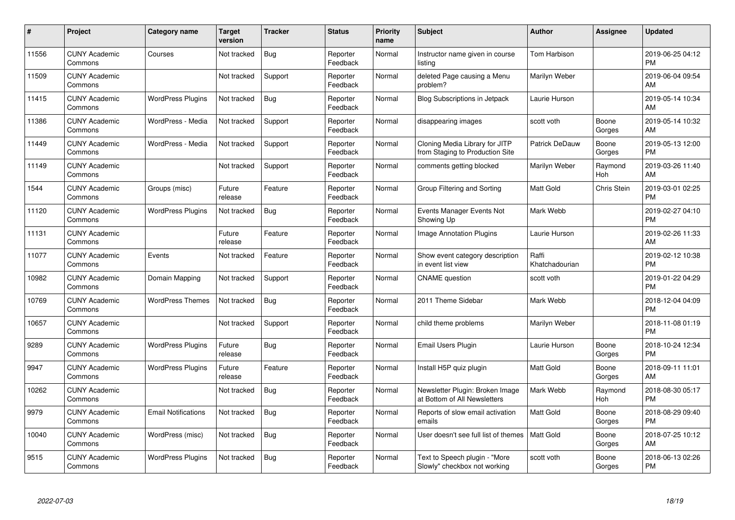| #     | Project                         | <b>Category name</b>       | <b>Target</b><br>version | <b>Tracker</b> | <b>Status</b>        | <b>Priority</b><br>name | <b>Subject</b>                                                    | <b>Author</b>           | Assignee        | <b>Updated</b>                |
|-------|---------------------------------|----------------------------|--------------------------|----------------|----------------------|-------------------------|-------------------------------------------------------------------|-------------------------|-----------------|-------------------------------|
| 11556 | <b>CUNY Academic</b><br>Commons | Courses                    | Not tracked              | Bug            | Reporter<br>Feedback | Normal                  | Instructor name given in course<br>listina                        | Tom Harbison            |                 | 2019-06-25 04:12<br><b>PM</b> |
| 11509 | <b>CUNY Academic</b><br>Commons |                            | Not tracked              | Support        | Reporter<br>Feedback | Normal                  | deleted Page causing a Menu<br>problem?                           | Marilyn Weber           |                 | 2019-06-04 09:54<br>AM        |
| 11415 | <b>CUNY Academic</b><br>Commons | <b>WordPress Plugins</b>   | Not tracked              | Bug            | Reporter<br>Feedback | Normal                  | <b>Blog Subscriptions in Jetpack</b>                              | Laurie Hurson           |                 | 2019-05-14 10:34<br>AM        |
| 11386 | <b>CUNY Academic</b><br>Commons | WordPress - Media          | Not tracked              | Support        | Reporter<br>Feedback | Normal                  | disappearing images                                               | scott voth              | Boone<br>Gorges | 2019-05-14 10:32<br>AM        |
| 11449 | <b>CUNY Academic</b><br>Commons | WordPress - Media          | Not tracked              | Support        | Reporter<br>Feedback | Normal                  | Cloning Media Library for JITP<br>from Staging to Production Site | <b>Patrick DeDauw</b>   | Boone<br>Gorges | 2019-05-13 12:00<br><b>PM</b> |
| 11149 | <b>CUNY Academic</b><br>Commons |                            | Not tracked              | Support        | Reporter<br>Feedback | Normal                  | comments getting blocked                                          | Marilyn Weber           | Raymond<br>Hoh  | 2019-03-26 11:40<br>AM        |
| 1544  | <b>CUNY Academic</b><br>Commons | Groups (misc)              | Future<br>release        | Feature        | Reporter<br>Feedback | Normal                  | Group Filtering and Sorting                                       | <b>Matt Gold</b>        | Chris Stein     | 2019-03-01 02:25<br><b>PM</b> |
| 11120 | <b>CUNY Academic</b><br>Commons | <b>WordPress Plugins</b>   | Not tracked              | <b>Bug</b>     | Reporter<br>Feedback | Normal                  | Events Manager Events Not<br>Showing Up                           | Mark Webb               |                 | 2019-02-27 04:10<br><b>PM</b> |
| 11131 | <b>CUNY Academic</b><br>Commons |                            | Future<br>release        | Feature        | Reporter<br>Feedback | Normal                  | Image Annotation Plugins                                          | Laurie Hurson           |                 | 2019-02-26 11:33<br>AM        |
| 11077 | <b>CUNY Academic</b><br>Commons | Events                     | Not tracked              | Feature        | Reporter<br>Feedback | Normal                  | Show event category description<br>in event list view             | Raffi<br>Khatchadourian |                 | 2019-02-12 10:38<br><b>PM</b> |
| 10982 | <b>CUNY Academic</b><br>Commons | Domain Mapping             | Not tracked              | Support        | Reporter<br>Feedback | Normal                  | <b>CNAME</b> question                                             | scott voth              |                 | 2019-01-22 04:29<br><b>PM</b> |
| 10769 | <b>CUNY Academic</b><br>Commons | <b>WordPress Themes</b>    | Not tracked              | <b>Bug</b>     | Reporter<br>Feedback | Normal                  | 2011 Theme Sidebar                                                | Mark Webb               |                 | 2018-12-04 04:09<br><b>PM</b> |
| 10657 | <b>CUNY Academic</b><br>Commons |                            | Not tracked              | Support        | Reporter<br>Feedback | Normal                  | child theme problems                                              | Marilyn Weber           |                 | 2018-11-08 01:19<br><b>PM</b> |
| 9289  | <b>CUNY Academic</b><br>Commons | <b>WordPress Plugins</b>   | Future<br>release        | Bug            | Reporter<br>Feedback | Normal                  | Email Users Plugin                                                | Laurie Hurson           | Boone<br>Gorges | 2018-10-24 12:34<br><b>PM</b> |
| 9947  | <b>CUNY Academic</b><br>Commons | <b>WordPress Plugins</b>   | Future<br>release        | Feature        | Reporter<br>Feedback | Normal                  | Install H5P quiz plugin                                           | <b>Matt Gold</b>        | Boone<br>Gorges | 2018-09-11 11:01<br>AM        |
| 10262 | <b>CUNY Academic</b><br>Commons |                            | Not tracked              | <b>Bug</b>     | Reporter<br>Feedback | Normal                  | Newsletter Plugin: Broken Image<br>at Bottom of All Newsletters   | Mark Webb               | Raymond<br>Hoh  | 2018-08-30 05:17<br><b>PM</b> |
| 9979  | <b>CUNY Academic</b><br>Commons | <b>Email Notifications</b> | Not tracked              | Bug            | Reporter<br>Feedback | Normal                  | Reports of slow email activation<br>emails                        | Matt Gold               | Boone<br>Gorges | 2018-08-29 09:40<br><b>PM</b> |
| 10040 | <b>CUNY Academic</b><br>Commons | WordPress (misc)           | Not tracked              | <b>Bug</b>     | Reporter<br>Feedback | Normal                  | User doesn't see full list of themes                              | Matt Gold               | Boone<br>Gorges | 2018-07-25 10:12<br>AM        |
| 9515  | <b>CUNY Academic</b><br>Commons | <b>WordPress Plugins</b>   | Not tracked              | <b>Bug</b>     | Reporter<br>Feedback | Normal                  | Text to Speech plugin - "More<br>Slowly" checkbox not working     | scott voth              | Boone<br>Gorges | 2018-06-13 02:26<br>PM        |